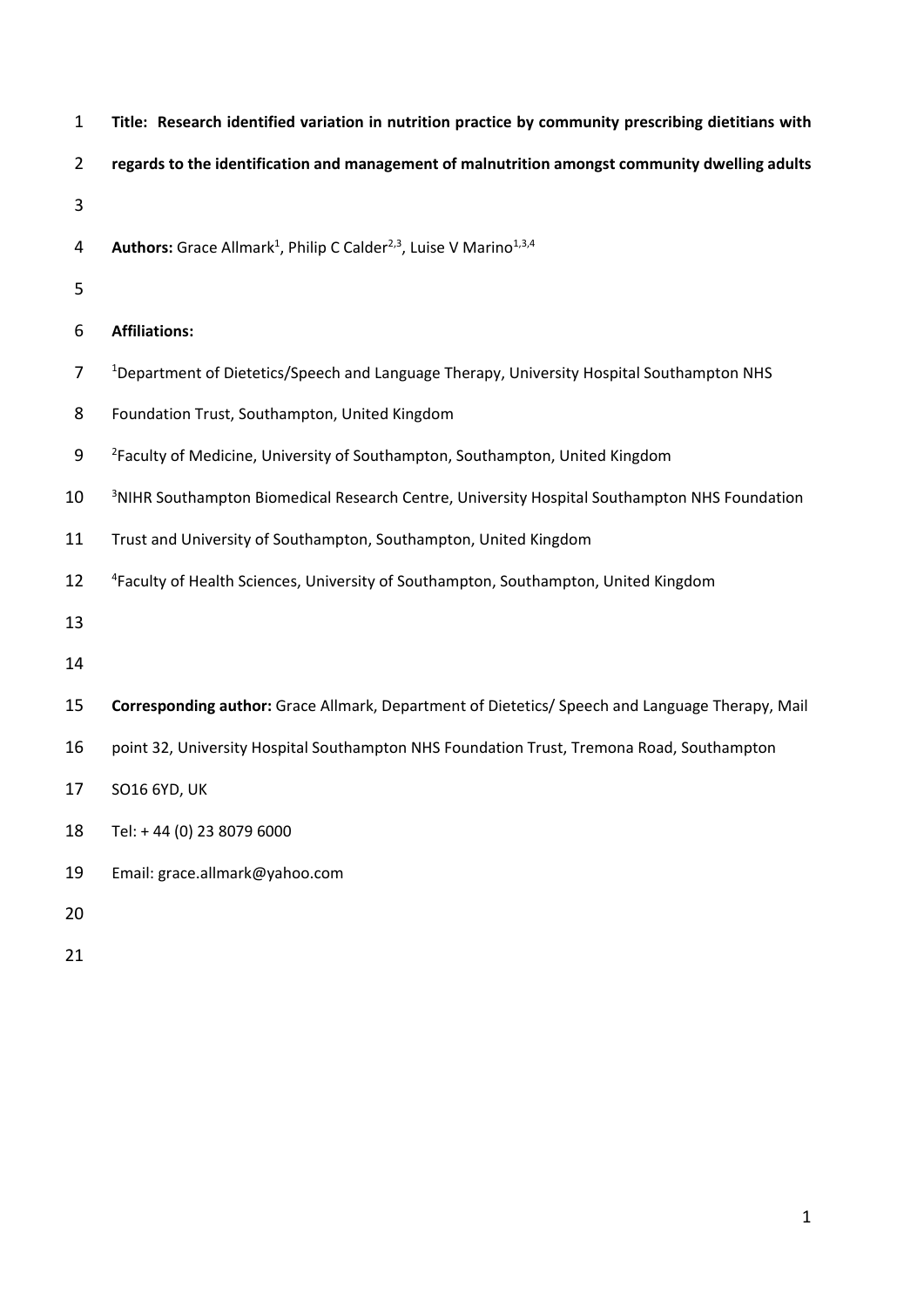| $\mathbf{1}$   | Title: Research identified variation in nutrition practice by community prescribing dietitians with      |
|----------------|----------------------------------------------------------------------------------------------------------|
| $\overline{2}$ | regards to the identification and management of malnutrition amongst community dwelling adults           |
| 3              |                                                                                                          |
| 4              | Authors: Grace Allmark <sup>1</sup> , Philip C Calder <sup>2,3</sup> , Luise V Marino <sup>1,3,4</sup>   |
| 5              |                                                                                                          |
| 6              | <b>Affiliations:</b>                                                                                     |
| 7              | <sup>1</sup> Department of Dietetics/Speech and Language Therapy, University Hospital Southampton NHS    |
| 8              | Foundation Trust, Southampton, United Kingdom                                                            |
| 9              | <sup>2</sup> Faculty of Medicine, University of Southampton, Southampton, United Kingdom                 |
| 10             | <sup>3</sup> NIHR Southampton Biomedical Research Centre, University Hospital Southampton NHS Foundation |
| 11             | Trust and University of Southampton, Southampton, United Kingdom                                         |
| 12             | <sup>4</sup> Faculty of Health Sciences, University of Southampton, Southampton, United Kingdom          |
| 13             |                                                                                                          |
| 14             |                                                                                                          |
| 15             | Corresponding author: Grace Allmark, Department of Dietetics/ Speech and Language Therapy, Mail          |
| 16             | point 32, University Hospital Southampton NHS Foundation Trust, Tremona Road, Southampton                |
| 17             | <b>SO16 6YD, UK</b>                                                                                      |
| 18             | Tel: +44 (0) 23 8079 6000                                                                                |
| 19             | Email: grace.allmark@yahoo.com                                                                           |
|                |                                                                                                          |

- 
-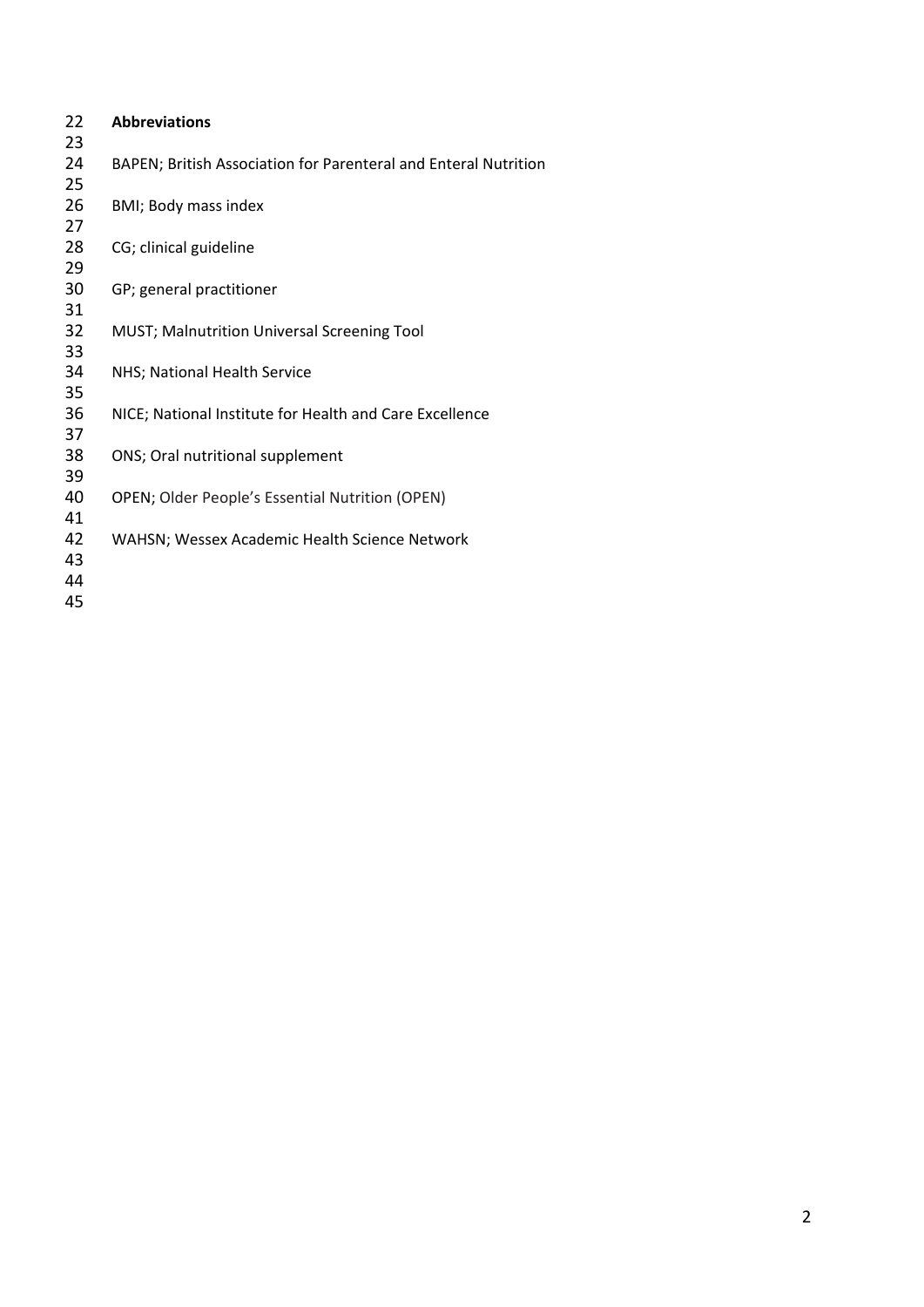| 22 | <b>Abbreviations</b>                                            |
|----|-----------------------------------------------------------------|
| 23 |                                                                 |
| 24 | BAPEN; British Association for Parenteral and Enteral Nutrition |
| 25 |                                                                 |
| 26 | BMI; Body mass index                                            |
| 27 |                                                                 |
| 28 | CG; clinical guideline                                          |
| 29 |                                                                 |
| 30 | GP; general practitioner                                        |
| 31 |                                                                 |
| 32 | MUST; Malnutrition Universal Screening Tool                     |
| 33 |                                                                 |
| 34 | NHS; National Health Service                                    |
| 35 |                                                                 |
| 36 | NICE; National Institute for Health and Care Excellence         |
| 37 |                                                                 |
| 38 | ONS; Oral nutritional supplement                                |
| 39 |                                                                 |
| 40 | <b>OPEN; Older People's Essential Nutrition (OPEN)</b>          |
| 41 |                                                                 |
| 42 | WAHSN; Wessex Academic Health Science Network                   |
| 43 |                                                                 |
| 44 |                                                                 |
| 45 |                                                                 |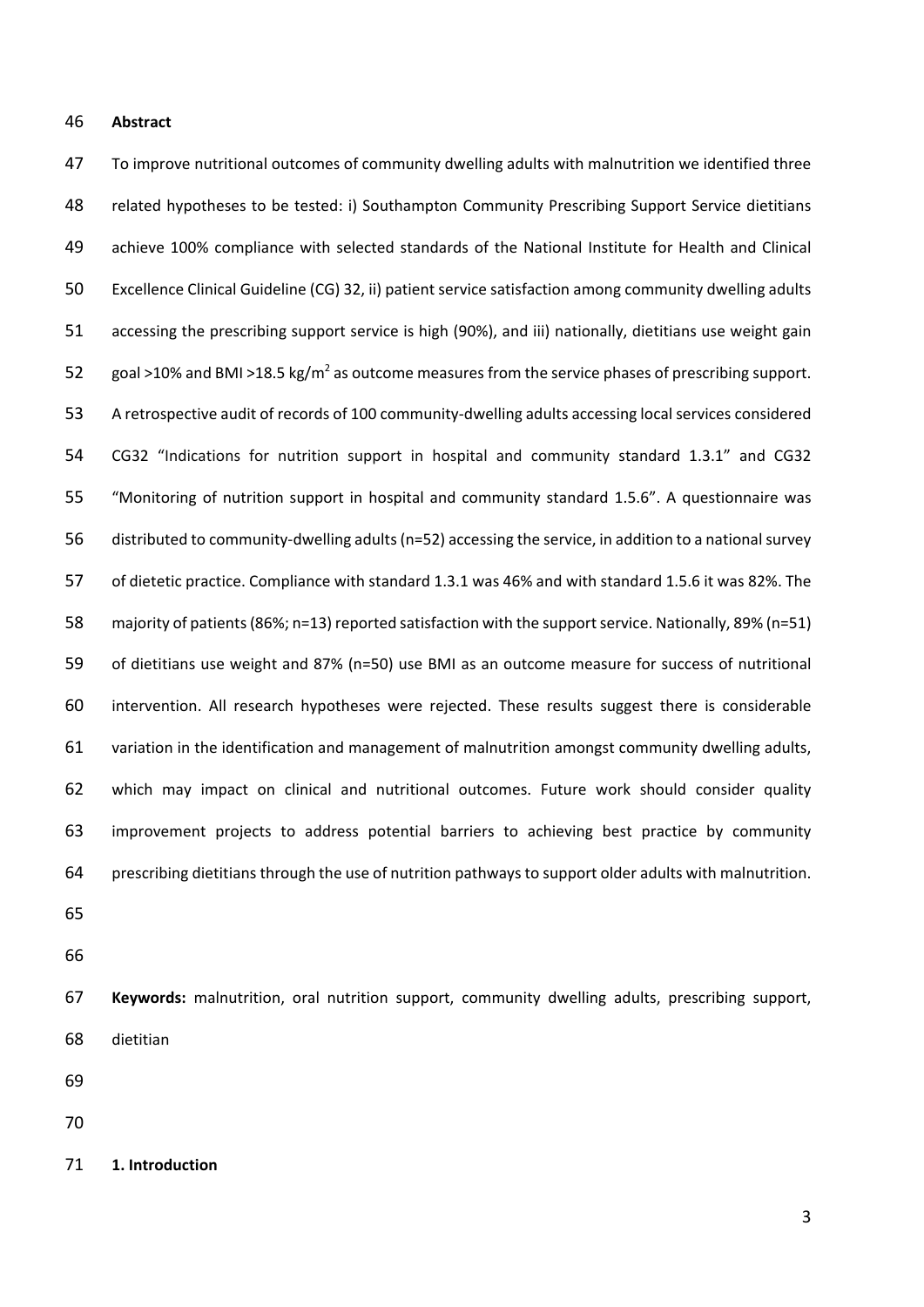#### **Abstract**

 To improve nutritional outcomes of community dwelling adults with malnutrition we identified three related hypotheses to be tested: i) Southampton Community Prescribing Support Service dietitians achieve 100% compliance with selected standards of the National Institute for Health and Clinical Excellence Clinical Guideline (CG) 32, ii) patient service satisfaction among community dwelling adults accessing the prescribing support service is high (90%), and iii) nationally, dietitians use weight gain 52 goal >10% and BMI >18.5 kg/m<sup>2</sup> as outcome measures from the service phases of prescribing support. 53 A retrospective audit of records of 100 community-dwelling adults accessing local services considered CG32 "Indications for nutrition support in hospital and community standard 1.3.1" and CG32 "Monitoring of nutrition support in hospital and community standard 1.5.6". A questionnaire was 56 distributed to community-dwelling adults (n=52) accessing the service, in addition to a national survey of dietetic practice. Compliance with standard 1.3.1 was 46% and with standard 1.5.6 it was 82%. The majority of patients (86%; n=13) reported satisfaction with the support service. Nationally, 89% (n=51) of dietitians use weight and 87% (n=50) use BMI as an outcome measure for success of nutritional intervention. All research hypotheses were rejected. These results suggest there is considerable variation in the identification and management of malnutrition amongst community dwelling adults, which may impact on clinical and nutritional outcomes. Future work should consider quality improvement projects to address potential barriers to achieving best practice by community prescribing dietitians through the use of nutrition pathways to support older adults with malnutrition.

- 
- 

 **Keywords:**  malnutrition, oral nutrition support, community dwelling adults, prescribing support, dietitian

**1. Introduction**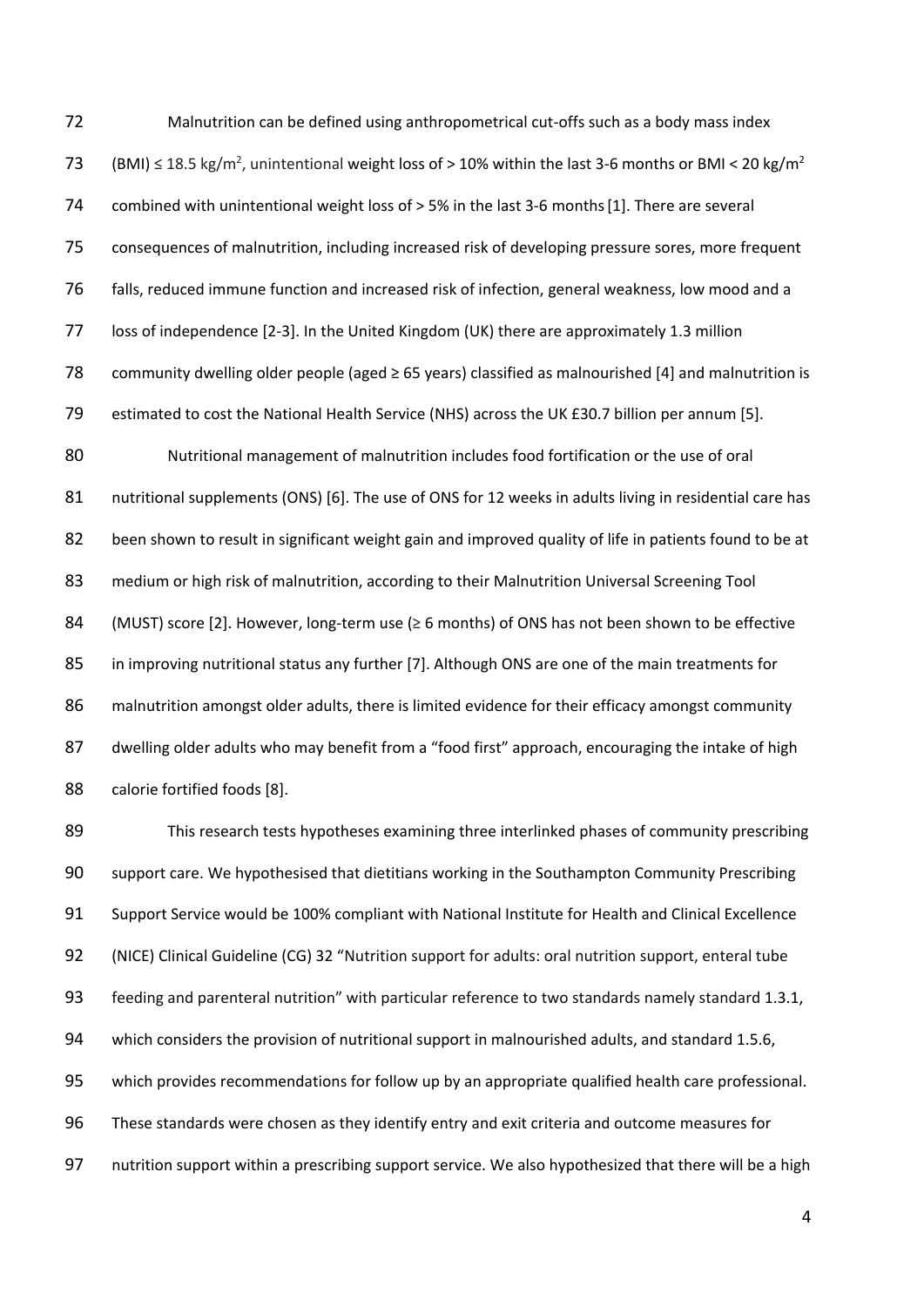72 Malnutrition can be defined using anthropometrical cut-offs such as a body mass index 73 (BMI)  $\leq$  18.5 kg/m<sup>2</sup>, unintentional weight loss of > 10% within the last 3-6 months or BMI < 20 kg/m<sup>2</sup> 74 combined with unintentional weight loss of > 5% in the last 3-6 months [1]. There are several consequences of malnutrition, including increased risk of developing pressure sores, more frequent falls, reduced immune function and increased risk of infection, general weakness, low mood and a 77 loss of independence [2-3]. In the United Kingdom (UK) there are approximately 1.3 million community dwelling older people (aged ≥ 65 years) classified as malnourished [4] and malnutrition is estimated to cost the National Health Service (NHS) across the UK £30.7 billion per annum [5]. Nutritional management of malnutrition includes food fortification or the use of oral 81 nutritional supplements (ONS) [6]. The use of ONS for 12 weeks in adults living in residential care has 82 been shown to result in significant weight gain and improved quality of life in patients found to be at medium or high risk of malnutrition, according to their Malnutrition Universal Screening Tool 84 (MUST) score [2]. However, long-term use ( $\geq 6$  months) of ONS has not been shown to be effective in improving nutritional status any further [7]. Although ONS are one of the main treatments for malnutrition amongst older adults, there is limited evidence for their efficacy amongst community 87 dwelling older adults who may benefit from a "food first" approach, encouraging the intake of high calorie fortified foods [8].

 This research tests hypotheses examining three interlinked phases of community prescribing support care. We hypothesised that dietitians working in the Southampton Community Prescribing Support Service would be 100% compliant with National Institute for Health and Clinical Excellence (NICE) Clinical Guideline (CG) 32 "Nutrition support for adults: oral nutrition support, enteral tube feeding and parenteral nutrition" with particular reference to two standards namely standard 1.3.1, which considers the provision of nutritional support in malnourished adults, and standard 1.5.6, which provides recommendations for follow up by an appropriate qualified health care professional. These standards were chosen as they identify entry and exit criteria and outcome measures for nutrition support within a prescribing support service. We also hypothesized that there will be a high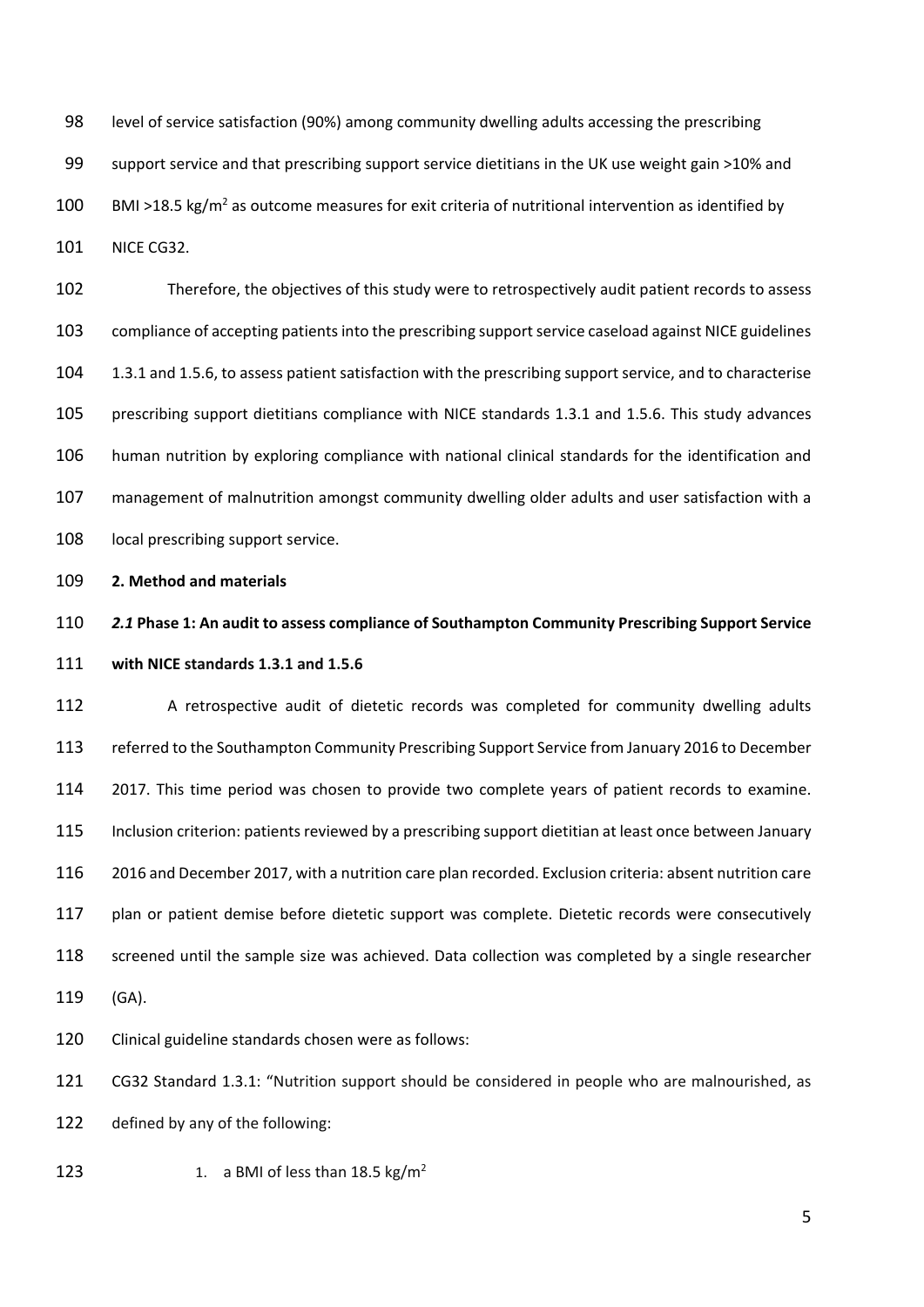level of service satisfaction (90%) among community dwelling adults accessing the prescribing support service and that prescribing support service dietitians in the UK use weight gain >10% and 100 BMI >18.5 kg/m<sup>2</sup> as outcome measures for exit criteria of nutritional intervention as identified by NICE CG32.

 Therefore, the objectives of this study were to retrospectively audit patient records to assess compliance of accepting patients into the prescribing support service caseload against NICE guidelines 1.3.1 and 1.5.6, to assess patient satisfaction with the prescribing support service, and to characterise prescribing support dietitians compliance with NICE standards 1.3.1 and 1.5.6. This study advances human nutrition by exploring compliance with national clinical standards for the identification and management of malnutrition amongst community dwelling older adults and user satisfaction with a 108 local prescribing support service.

**2. Method and materials** 

 *2.1* **Phase 1: An audit to assess compliance of Southampton Community Prescribing Support Service with NICE standards 1.3.1 and 1.5.6**

**A retrospective audit of dietetic records was completed for community dwelling adults**  referred to the Southampton Community Prescribing Support Service from January 2016 to December 114 2017. This time period was chosen to provide two complete years of patient records to examine. Inclusion criterion: patients reviewed by a prescribing support dietitian at least once between January 2016 and December 2017, with a nutrition care plan recorded. Exclusion criteria: absent nutrition care 117 plan or patient demise before dietetic support was complete. Dietetic records were consecutively screened until the sample size was achieved. Data collection was completed by a single researcher (GA).

Clinical guideline standards chosen were as follows:

 CG32 Standard 1.3.1: "Nutrition support should be considered in people who are malnourished, as defined by any of the following:

123 **1.** a BMI of less than  $18.5 \text{ kg/m}^2$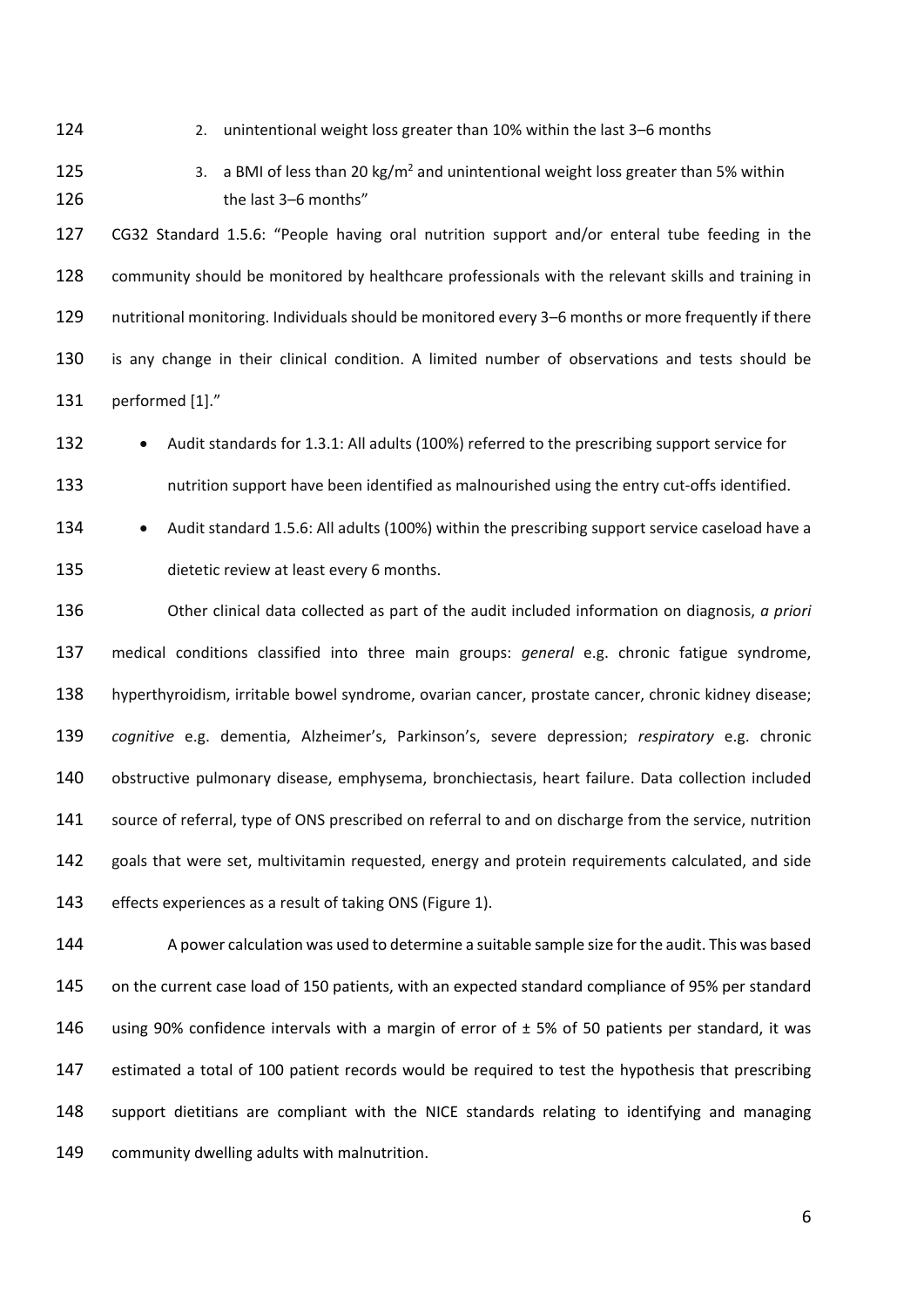2. unintentional weight loss greater than 10% within the last 3–6 months

125 **3.** a BMI of less than 20 kg/m<sup>2</sup> and unintentional weight loss greater than 5% within **the last 3–6 months''** 

 CG32 Standard 1.5.6: "People having oral nutrition support and/or enteral tube feeding in the community should be monitored by healthcare professionals with the relevant skills and training in nutritional monitoring. Individuals should be monitored every 3–6 months or more frequently if there is any change in their clinical condition. A limited number of observations and tests should be 131 performed [1]."

132 • Audit standards for 1.3.1: All adults (100%) referred to the prescribing support service for

133 nutrition support have been identified as malnourished using the entry cut-offs identified.

134 • Audit standard 1.5.6: All adults (100%) within the prescribing support service caseload have a dietetic review at least every 6 months.

 Other clinical data collected as part of the audit included information on diagnosis, *a priori* medical conditions classified into three main groups: *general* e.g. chronic fatigue syndrome, hyperthyroidism, irritable bowel syndrome, ovarian cancer, prostate cancer, chronic kidney disease; *cognitive* e.g. dementia, Alzheimer's, Parkinson's, severe depression; *respiratory* e.g. chronic 140 obstructive pulmonary disease, emphysema, bronchiectasis, heart failure. Data collection included source of referral, type of ONS prescribed on referral to and on discharge from the service, nutrition goals that were set, multivitamin requested, energy and protein requirements calculated, and side effects experiences as a result of taking ONS (Figure 1).

 A power calculation was used to determine a suitable sample size for the audit. This was based 145 on the current case load of 150 patients, with an expected standard compliance of 95% per standard 146 using 90% confidence intervals with a margin of error of  $\pm$  5% of 50 patients per standard, it was estimated a total of 100 patient records would be required to test the hypothesis that prescribing 148 support dietitians are compliant with the NICE standards relating to identifying and managing community dwelling adults with malnutrition.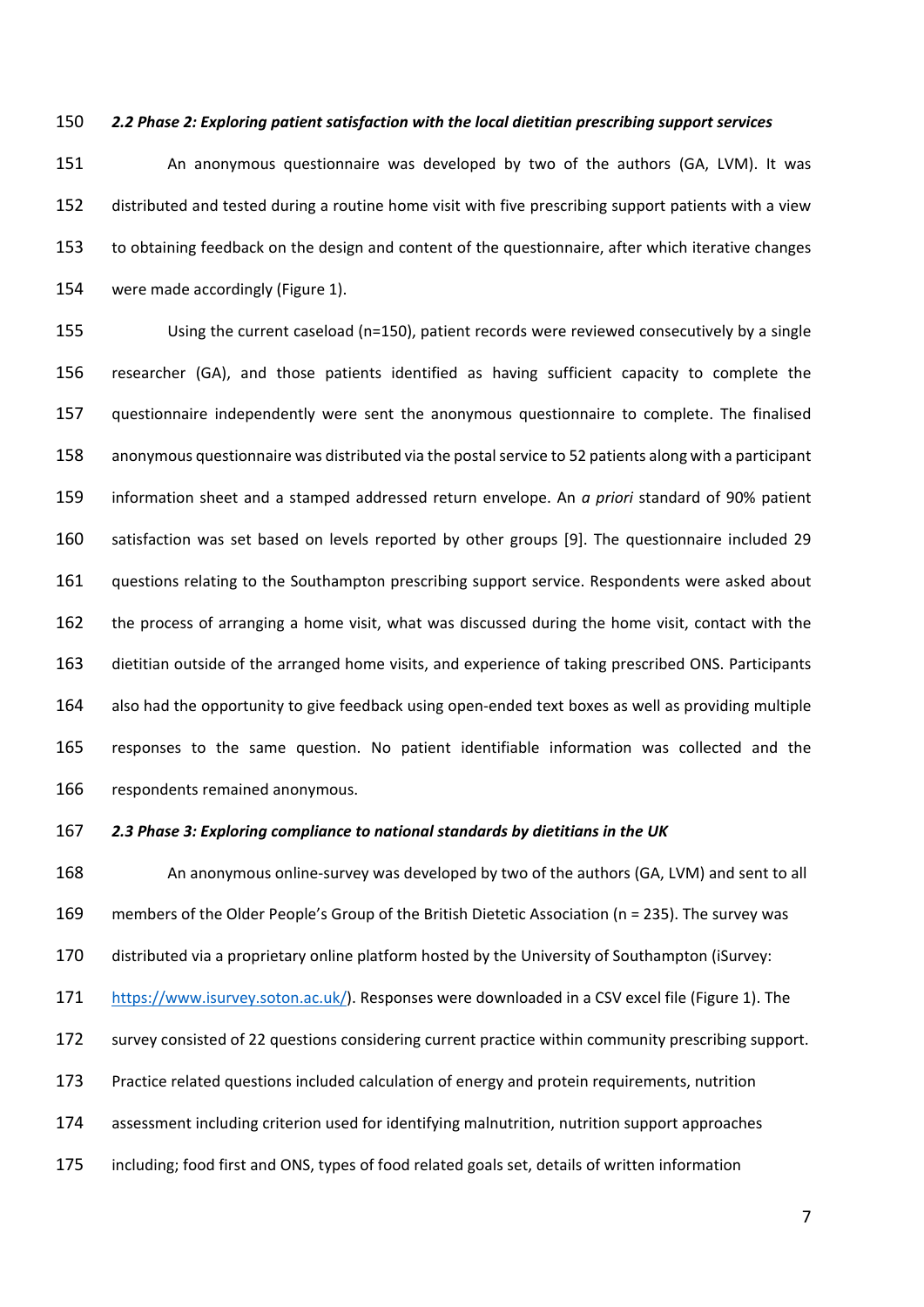#### *2.2 Phase 2: Exploring patient satisfaction with the local dietitian prescribing support services*

151 An anonymous questionnaire was developed by two of the authors (GA, LVM). It was distributed and tested during a routine home visit with five prescribing support patients with a view to obtaining feedback on the design and content of the questionnaire, after which iterative changes were made accordingly (Figure 1).

 Using the current caseload (n=150), patient records were reviewed consecutively by a single researcher (GA), and those patients identified as having sufficient capacity to complete the questionnaire independently were sent the anonymous questionnaire to complete. The finalised anonymous questionnaire was distributed via the postal service to 52 patients along with a participant information sheet and a stamped addressed return envelope. An *a priori* standard of 90% patient satisfaction was set based on levels reported by other groups [9]. The questionnaire included 29 161 questions relating to the Southampton prescribing support service. Respondents were asked about the process of arranging a home visit, what was discussed during the home visit, contact with the dietitian outside of the arranged home visits, and experience of taking prescribed ONS. Participants also had the opportunity to give feedback using open‐ended text boxes as well as providing multiple responses to the same question. No patient identifiable information was collected and the respondents remained anonymous.

#### *2.3 Phase 3: Exploring compliance to national standards by dietitians in the UK*

168 An anonymous online-survey was developed by two of the authors (GA, LVM) and sent to all members of the Older People's Group of the British Dietetic Association (n = 235). The survey was distributed via a proprietary online platform hosted by the University of Southampton (iSurvey: https://www.isurvey.soton.ac.uk/). Responses were downloaded in a CSV excel file (Figure 1). The survey consisted of 22 questions considering current practice within community prescribing support. Practice related questions included calculation of energy and protein requirements, nutrition assessment including criterion used for identifying malnutrition, nutrition support approaches including; food first and ONS, types of food related goals set, details of written information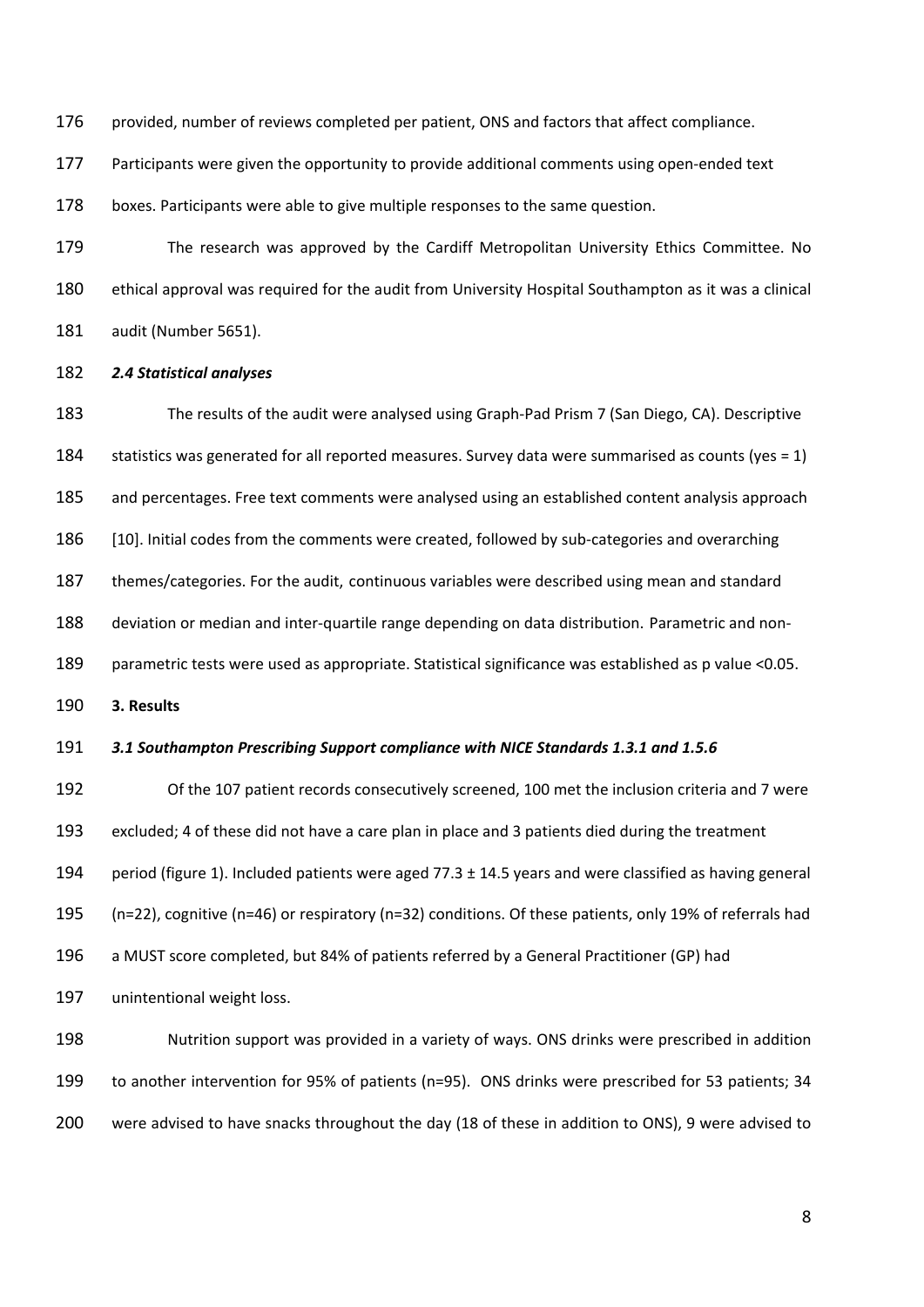provided, number of reviews completed per patient, ONS and factors that affect compliance.

177 Participants were given the opportunity to provide additional comments using open-ended text

boxes. Participants were able to give multiple responses to the same question.

 The research was approved by the Cardiff Metropolitan University Ethics Committee. No ethical approval was required for the audit from University Hospital Southampton as it was a clinical audit (Number 5651).

*2.4 Statistical analyses* 

183 The results of the audit were analysed using Graph-Pad Prism 7 (San Diego, CA). Descriptive statistics was generated for all reported measures. Survey data were summarised as counts (yes = 1) and percentages. Free text comments were analysed using an established content analysis approach 186 [10]. Initial codes from the comments were created, followed by sub-categories and overarching themes/categories. For the audit, continuous variables were described using mean and standard 188 deviation or median and inter-quartile range depending on data distribution. Parametric and non- parametric tests were used as appropriate. Statistical significance was established as p value <0.05. **3. Results**  *3.1 Southampton Prescribing Support compliance with NICE Standards 1.3.1 and 1.5.6*  Of the 107 patient records consecutively screened, 100 met the inclusion criteria and 7 were excluded; 4 of these did not have a care plan in place and 3 patients died during the treatment

194 period (figure 1). Included patients were aged 77.3 ± 14.5 years and were classified as having general

(n=22), cognitive (n=46) or respiratory (n=32) conditions. Of these patients, only 19% of referrals had

a MUST score completed, but 84% of patients referred by a General Practitioner (GP) had

197 unintentional weight loss.

 Nutrition support was provided in a variety of ways. ONS drinks were prescribed in addition to another intervention for 95% of patients (n=95). ONS drinks were prescribed for 53 patients; 34 were advised to have snacks throughout the day (18 of these in addition to ONS), 9 were advised to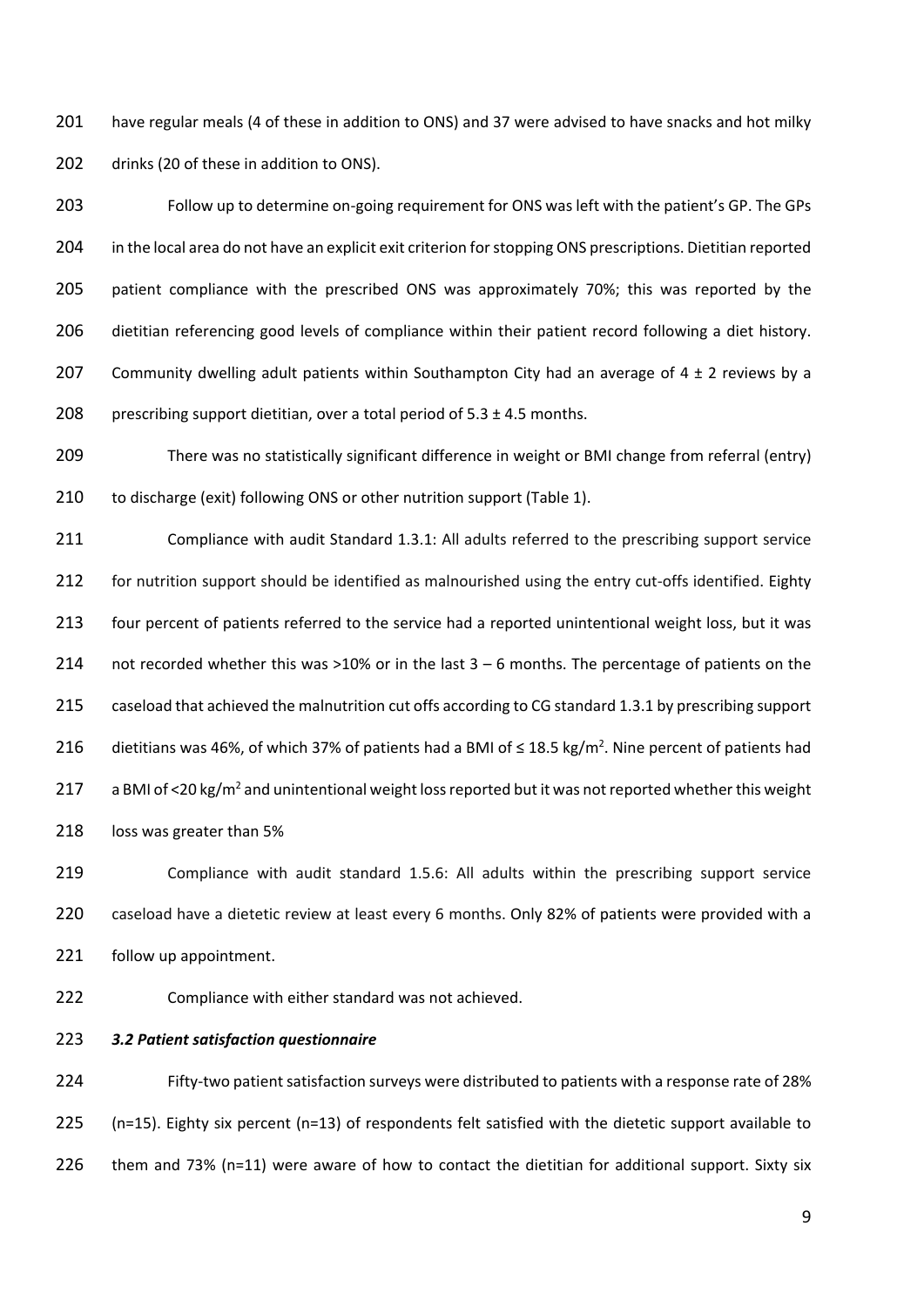201 have regular meals (4 of these in addition to ONS) and 37 were advised to have snacks and hot milky 202 drinks (20 of these in addition to ONS).

 Follow up to determine on‐going requirement for ONS was left with the patient's GP. The GPs 204 in the local area do not have an explicit exit criterion for stopping ONS prescriptions. Dietitian reported patient compliance with the prescribed ONS was approximately 70%; this was reported by the dietitian referencing good levels of compliance within their patient record following a diet history. 207 Community dwelling adult patients within Southampton City had an average of 4  $\pm$  2 reviews by a prescribing support dietitian, over a total period of 5.3 ± 4.5 months. 

209 There was no statistically significant difference in weight or BMI change from referral (entry) 210 to discharge (exit) following ONS or other nutrition support (Table 1).

211 Compliance with audit Standard 1.3.1: All adults referred to the prescribing support service 212 for nutrition support should be identified as malnourished using the entry cut-offs identified. Eighty 213 four percent of patients referred to the service had a reported unintentional weight loss, but it was 214 not recorded whether this was >10% or in the last 3 – 6 months. The percentage of patients on the 215 caseload that achieved the malnutrition cut offs according to CG standard 1.3.1 by prescribing support 216 dietitians was 46%, of which 37% of patients had a BMI of  $\leq$  18.5 kg/m<sup>2</sup>. Nine percent of patients had 217 a BMI of <20 kg/m<sup>2</sup> and unintentional weight loss reported but it was not reported whether this weight 218 loss was greater than 5%

219 Compliance with audit standard 1.5.6: All adults within the prescribing support service 220 caseload have a dietetic review at least every 6 months. Only 82% of patients were provided with a 221 follow up appointment.

222 Compliance with either standard was not achieved.

223 *3.2 Patient satisfaction questionnaire* 

224 Fifty-two patient satisfaction surveys were distributed to patients with a response rate of 28% 225 (n=15). Eighty six percent (n=13) of respondents felt satisfied with the dietetic support available to 226 them and  $73\%$  (n=11) were aware of how to contact the dietitian for additional support. Sixty six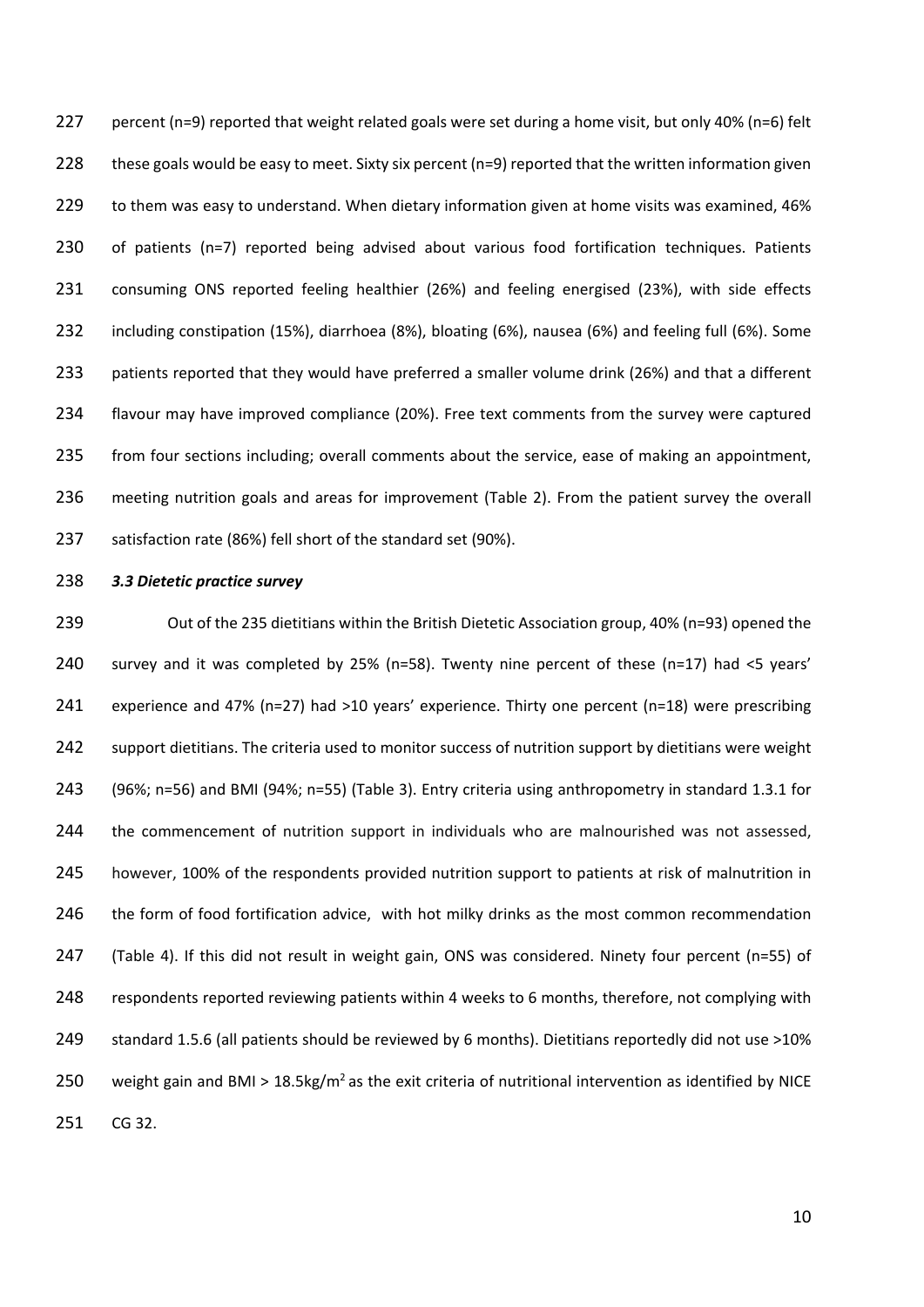percent (n=9) reported that weight related goals were set during a home visit, but only 40% (n=6) felt 228 these goals would be easy to meet. Sixty six percent (n=9) reported that the written information given to them was easy to understand. When dietary information given at home visits was examined, 46% of patients (n=7) reported being advised about various food fortification techniques. Patients consuming ONS reported feeling healthier (26%) and feeling energised (23%), with side effects including constipation (15%), diarrhoea (8%), bloating (6%), nausea (6%) and feeling full (6%). Some patients reported that they would have preferred a smaller volume drink (26%) and that a different flavour may have improved compliance (20%). Free text comments from the survey were captured from four sections including; overall comments about the service, ease of making an appointment, meeting nutrition goals and areas for improvement (Table 2). From the patient survey the overall satisfaction rate (86%) fell short of the standard set (90%).

#### *3.3 Dietetic practice survey*

 Out of the 235 dietitians within the British Dietetic Association group, 40% (n=93) opened the 240 survey and it was completed by 25% (n=58). Twenty nine percent of these (n=17) had <5 years' experience and 47% (n=27) had >10 years' experience. Thirty one percent (n=18) were prescribing support dietitians. The criteria used to monitor success of nutrition support by dietitians were weight (96%; n=56) and BMI (94%; n=55) (Table 3). Entry criteria using anthropometry in standard 1.3.1 for 244 the commencement of nutrition support in individuals who are malnourished was not assessed, however, 100% of the respondents provided nutrition support to patients at risk of malnutrition in the form of food fortification advice, with hot milky drinks as the most common recommendation 247 (Table 4). If this did not result in weight gain, ONS was considered. Ninety four percent (n=55) of respondents reported reviewing patients within 4 weeks to 6 months, therefore, not complying with standard 1.5.6 (all patients should be reviewed by 6 months). Dietitians reportedly did not use >10% 250 weight gain and BMI >  $18.5\text{kg/m}^2$  as the exit criteria of nutritional intervention as identified by NICE CG 32.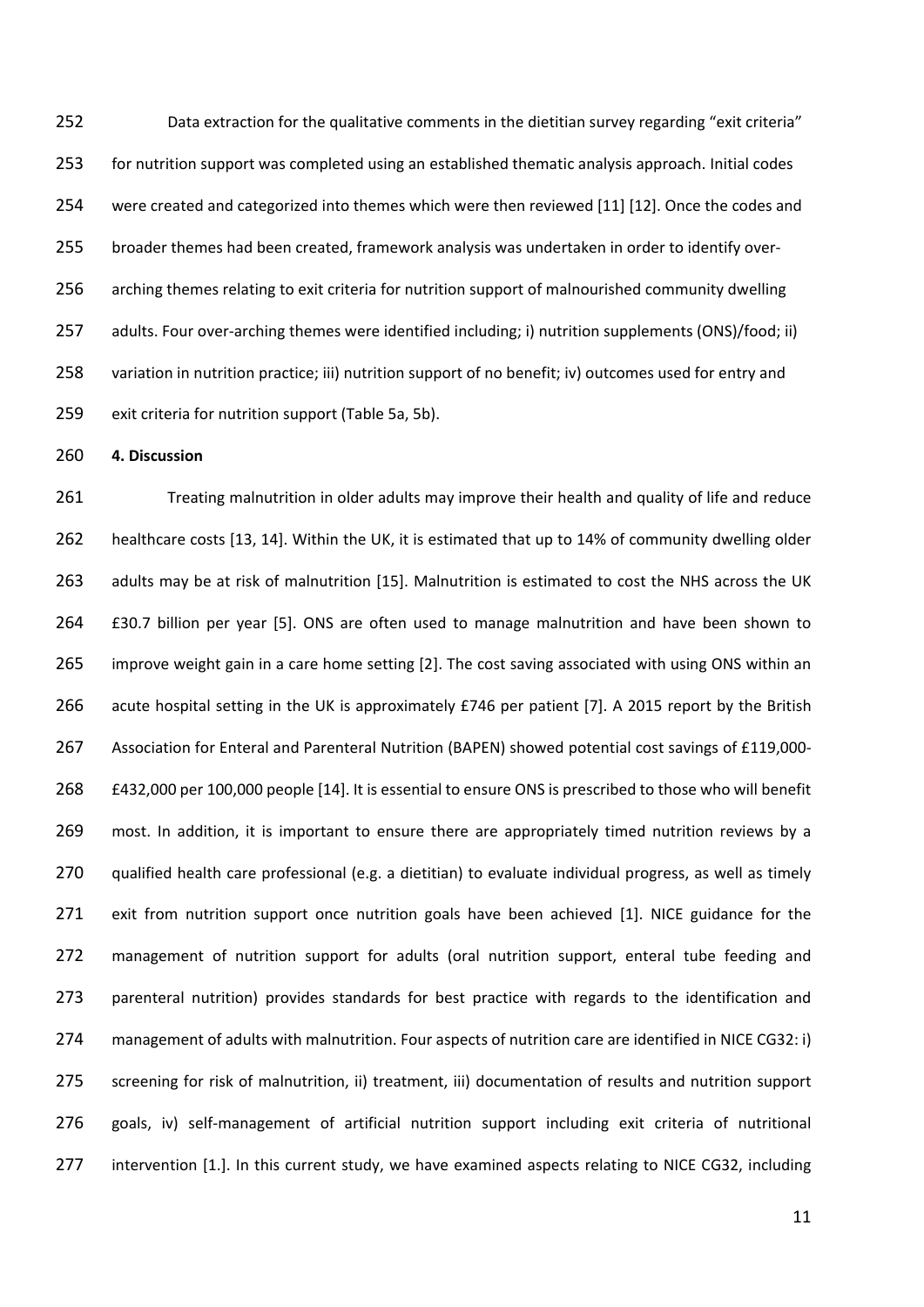Data extraction for the qualitative comments in the dietitian survey regarding "exit criteria" for nutrition support was completed using an established thematic analysis approach. Initial codes were created and categorized into themes which were then reviewed [11] [12]. Once the codes and broader themes had been created, framework analysis was undertaken in order to identify over‐ arching themes relating to exit criteria for nutrition support of malnourished community dwelling 257 adults. Four over-arching themes were identified including; i) nutrition supplements (ONS)/food; ii) variation in nutrition practice; iii) nutrition support of no benefit; iv) outcomes used for entry and exit criteria for nutrition support (Table 5a, 5b).

**4. Discussion** 

 Treating malnutrition in older adults may improve their health and quality of life and reduce healthcare costs [13, 14]. Within the UK, it is estimated that up to 14% of community dwelling older adults may be at risk of malnutrition [15]. Malnutrition is estimated to cost the NHS across the UK £30.7 billion per year [5]. ONS are often used to manage malnutrition and have been shown to improve weight gain in a care home setting [2]. The cost saving associated with using ONS within an acute hospital setting in the UK is approximately £746 per patient [7]. A 2015 report by the British 267 Association for Enteral and Parenteral Nutrition (BAPEN) showed potential cost savings of £119,000- £432,000 per 100,000 people [14]. It is essential to ensure ONS is prescribed to those who will benefit 269 most. In addition, it is important to ensure there are appropriately timed nutrition reviews by a qualified health care professional (e.g. a dietitian) to evaluate individual progress, as well as timely 271 exit from nutrition support once nutrition goals have been achieved [1]. NICE guidance for the 272 management of nutrition support for adults (oral nutrition support, enteral tube feeding and 273 parenteral nutrition) provides standards for best practice with regards to the identification and management of adults with malnutrition. Four aspects of nutrition care are identified in NICE CG32: i) screening for risk of malnutrition, ii) treatment, iii) documentation of results and nutrition support 276 goals, iv) self-management of artificial nutrition support including exit criteria of nutritional 277 intervention [1.]. In this current study, we have examined aspects relating to NICE CG32, including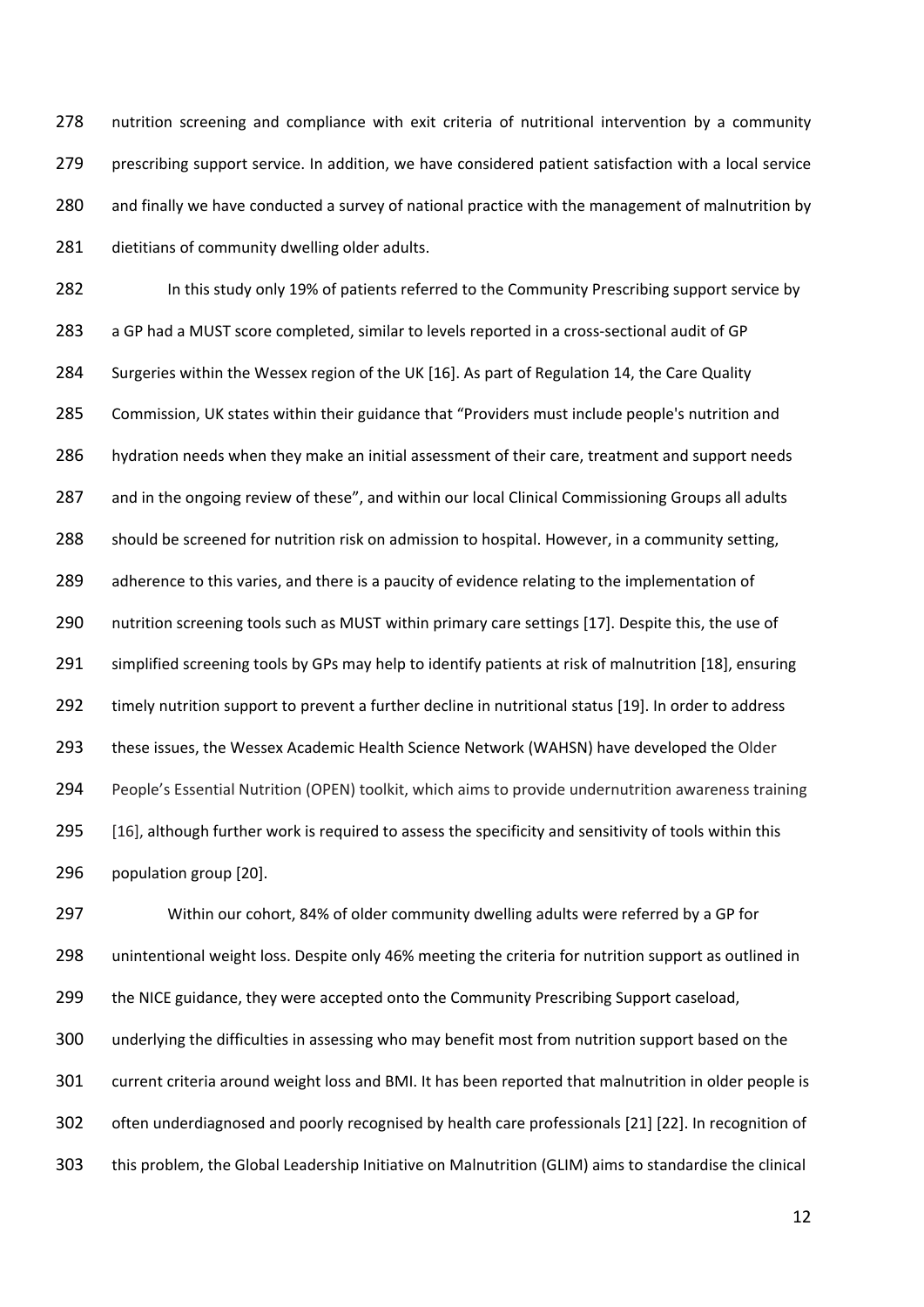278 nutrition screening and compliance with exit criteria of nutritional intervention by a community prescribing support service. In addition, we have considered patient satisfaction with a local service and finally we have conducted a survey of national practice with the management of malnutrition by 281 dietitians of community dwelling older adults.

 In this study only 19% of patients referred to the Community Prescribing support service by 283 a GP had a MUST score completed, similar to levels reported in a cross-sectional audit of GP Surgeries within the Wessex region of the UK [16]. As part of Regulation 14, the Care Quality Commission, UK states within their guidance that "Providers must include people's nutrition and hydration needs when they make an initial assessment of their care, treatment and support needs 287 and in the ongoing review of these", and within our local Clinical Commissioning Groups all adults should be screened for nutrition risk on admission to hospital. However, in a community setting, 289 adherence to this varies, and there is a paucity of evidence relating to the implementation of nutrition screening tools such as MUST within primary care settings [17]. Despite this, the use of simplified screening tools by GPs may help to identify patients at risk of malnutrition [18], ensuring 292 timely nutrition support to prevent a further decline in nutritional status [19]. In order to address these issues, the Wessex Academic Health Science Network (WAHSN) have developed the Older People's Essential Nutrition (OPEN) toolkit, which aims to provide undernutrition awareness training 295 [16], although further work is required to assess the specificity and sensitivity of tools within this population group [20].

 Within our cohort, 84% of older community dwelling adults were referred by a GP for unintentional weight loss. Despite only 46% meeting the criteria for nutrition support as outlined in the NICE guidance, they were accepted onto the Community Prescribing Support caseload, underlying the difficulties in assessing who may benefit most from nutrition support based on the current criteria around weight loss and BMI. It has been reported that malnutrition in older people is often underdiagnosed and poorly recognised by health care professionals [21] [22]. In recognition of this problem, the Global Leadership Initiative on Malnutrition (GLIM) aims to standardise the clinical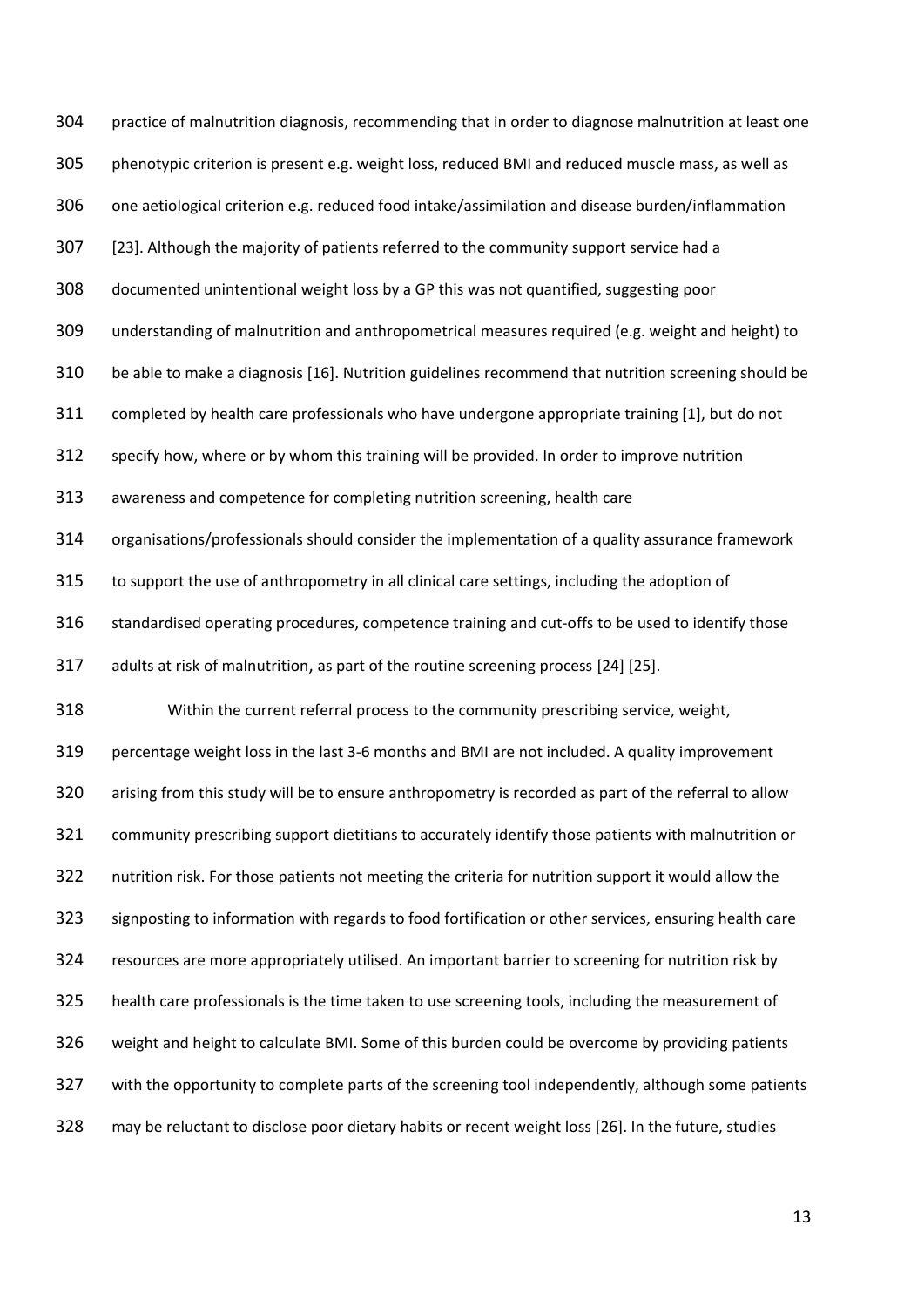practice of malnutrition diagnosis, recommending that in order to diagnose malnutrition at least one phenotypic criterion is present e.g. weight loss, reduced BMI and reduced muscle mass, as well as one aetiological criterion e.g. reduced food intake/assimilation and disease burden/inflammation [23]. Although the majority of patients referred to the community support service had a documented unintentional weight loss by a GP this was not quantified, suggesting poor understanding of malnutrition and anthropometrical measures required (e.g. weight and height) to be able to make a diagnosis [16]. Nutrition guidelines recommend that nutrition screening should be completed by health care professionals who have undergone appropriate training [1], but do not specify how, where or by whom this training will be provided. In order to improve nutrition awareness and competence for completing nutrition screening, health care organisations/professionals should consider the implementation of a quality assurance framework to support the use of anthropometry in all clinical care settings, including the adoption of 316 standardised operating procedures, competence training and cut-offs to be used to identify those adults at risk of malnutrition, as part of the routine screening process [24] [25]. Within the current referral process to the community prescribing service, weight, percentage weight loss in the last 3‐6 months and BMI are not included. A quality improvement 320 arising from this study will be to ensure anthropometry is recorded as part of the referral to allow community prescribing support dietitians to accurately identify those patients with malnutrition or nutrition risk. For those patients not meeting the criteria for nutrition support it would allow the signposting to information with regards to food fortification or other services, ensuring health care resources are more appropriately utilised. An important barrier to screening for nutrition risk by health care professionals is the time taken to use screening tools, including the measurement of weight and height to calculate BMI. Some of this burden could be overcome by providing patients with the opportunity to complete parts of the screening tool independently, although some patients may be reluctant to disclose poor dietary habits or recent weight loss [26]. In the future, studies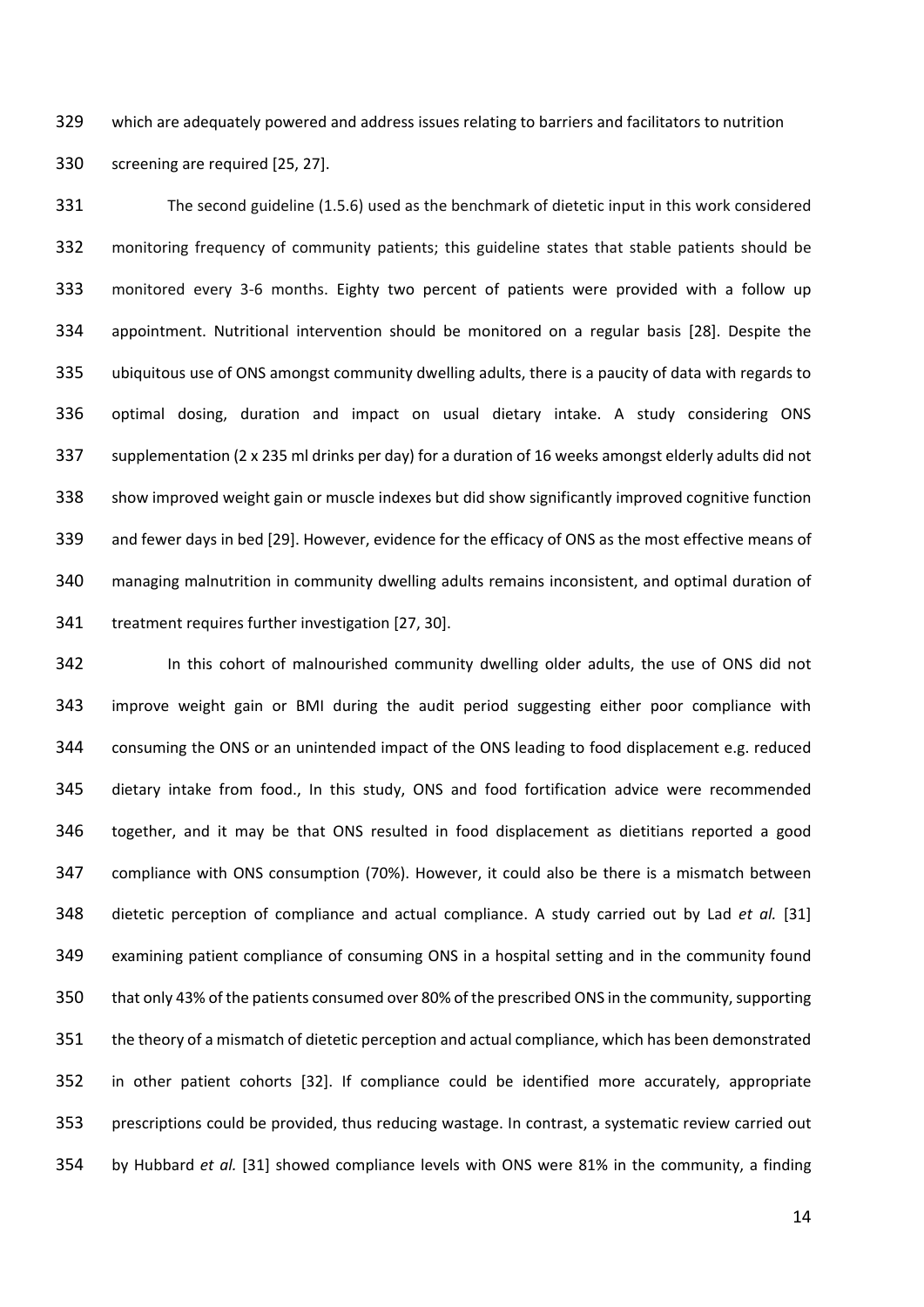which are adequately powered and address issues relating to barriers and facilitators to nutrition screening are required [25, 27].

 The second guideline (1.5.6) used as the benchmark of dietetic input in this work considered 332 monitoring frequency of community patients; this guideline states that stable patients should be 333 monitored every 3-6 months. Eighty two percent of patients were provided with a follow up appointment. Nutritional intervention should be monitored on a regular basis [28]. Despite the ubiquitous use of ONS amongst community dwelling adults, there is a paucity of data with regards to optimal dosing, duration and impact on usual dietary intake. A study considering ONS supplementation (2 x 235 ml drinks per day) for a duration of 16 weeks amongst elderly adults did not show improved weight gain or muscle indexes but did show significantly improved cognitive function and fewer days in bed [29]. However, evidence for the efficacy of ONS as the most effective means of managing malnutrition in community dwelling adults remains inconsistent, and optimal duration of treatment requires further investigation [27, 30].

342 In this cohort of malnourished community dwelling older adults, the use of ONS did not 343 improve weight gain or BMI during the audit period suggesting either poor compliance with consuming the ONS or an unintended impact of the ONS leading to food displacement e.g. reduced dietary intake from food., In this study, ONS and food fortification advice were recommended 346 together, and it may be that ONS resulted in food displacement as dietitians reported a good compliance with ONS consumption (70%). However, it could also be there is a mismatch between dietetic perception of compliance and actual compliance. A study carried out by Lad *et al.* [31] examining patient compliance of consuming ONS in a hospital setting and in the community found that only 43% of the patients consumed over 80% of the prescribed ONS in the community, supporting the theory of a mismatch of dietetic perception and actual compliance, which has been demonstrated in other patient cohorts [32]. If compliance could be identified more accurately, appropriate prescriptions could be provided, thus reducing wastage. In contrast, a systematic review carried out by Hubbard *et al.* [31] showed compliance levels with ONS were 81% in the community, a finding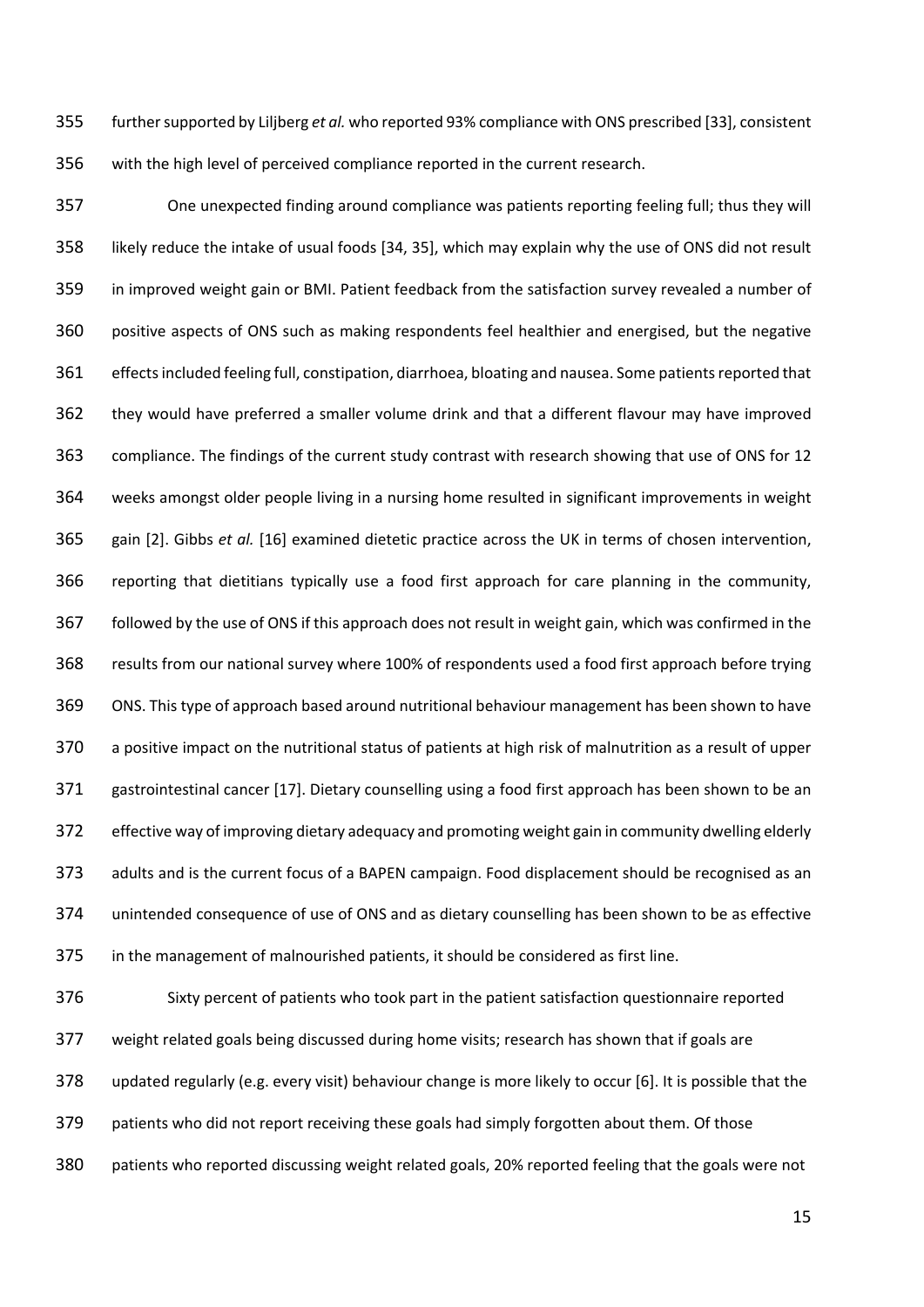further supported by Liljberg *et al.* who reported 93% compliance with ONS prescribed [33], consistent with the high level of perceived compliance reported in the current research.

 One unexpected finding around compliance was patients reporting feeling full; thus they will likely reduce the intake of usual foods [34, 35], which may explain why the use of ONS did not result in improved weight gain or BMI. Patient feedback from the satisfaction survey revealed a number of positive aspects of ONS such as making respondents feel healthier and energised, but the negative effects included feeling full, constipation, diarrhoea, bloating and nausea. Some patients reported that they would have preferred a smaller volume drink and that a different flavour may have improved compliance. The findings of the current study contrast with research showing that use of ONS for 12 weeks amongst older people living in a nursing home resulted in significant improvements in weight gain [2]. Gibbs *et al.* [16] examined dietetic practice across the UK in terms of chosen intervention, reporting that dietitians typically use a food first approach for care planning in the community, followed by the use of ONS if this approach does not result in weight gain, which was confirmed in the results from our national survey where 100% of respondents used a food first approach before trying ONS. This type of approach based around nutritional behaviour management has been shown to have a positive impact on the nutritional status of patients at high risk of malnutrition as a result of upper gastrointestinal cancer [17]. Dietary counselling using a food first approach has been shown to be an effective way of improving dietary adequacy and promoting weight gain in community dwelling elderly adults and is the current focus of a BAPEN campaign. Food displacement should be recognised as an unintended consequence of use of ONS and as dietary counselling has been shown to be as effective in the management of malnourished patients, it should be considered as first line.

 Sixty percent of patients who took part in the patient satisfaction questionnaire reported weight related goals being discussed during home visits; research has shown that if goals are updated regularly (e.g. every visit) behaviour change is more likely to occur [6]. It is possible that the patients who did not report receiving these goals had simply forgotten about them. Of those patients who reported discussing weight related goals, 20% reported feeling that the goals were not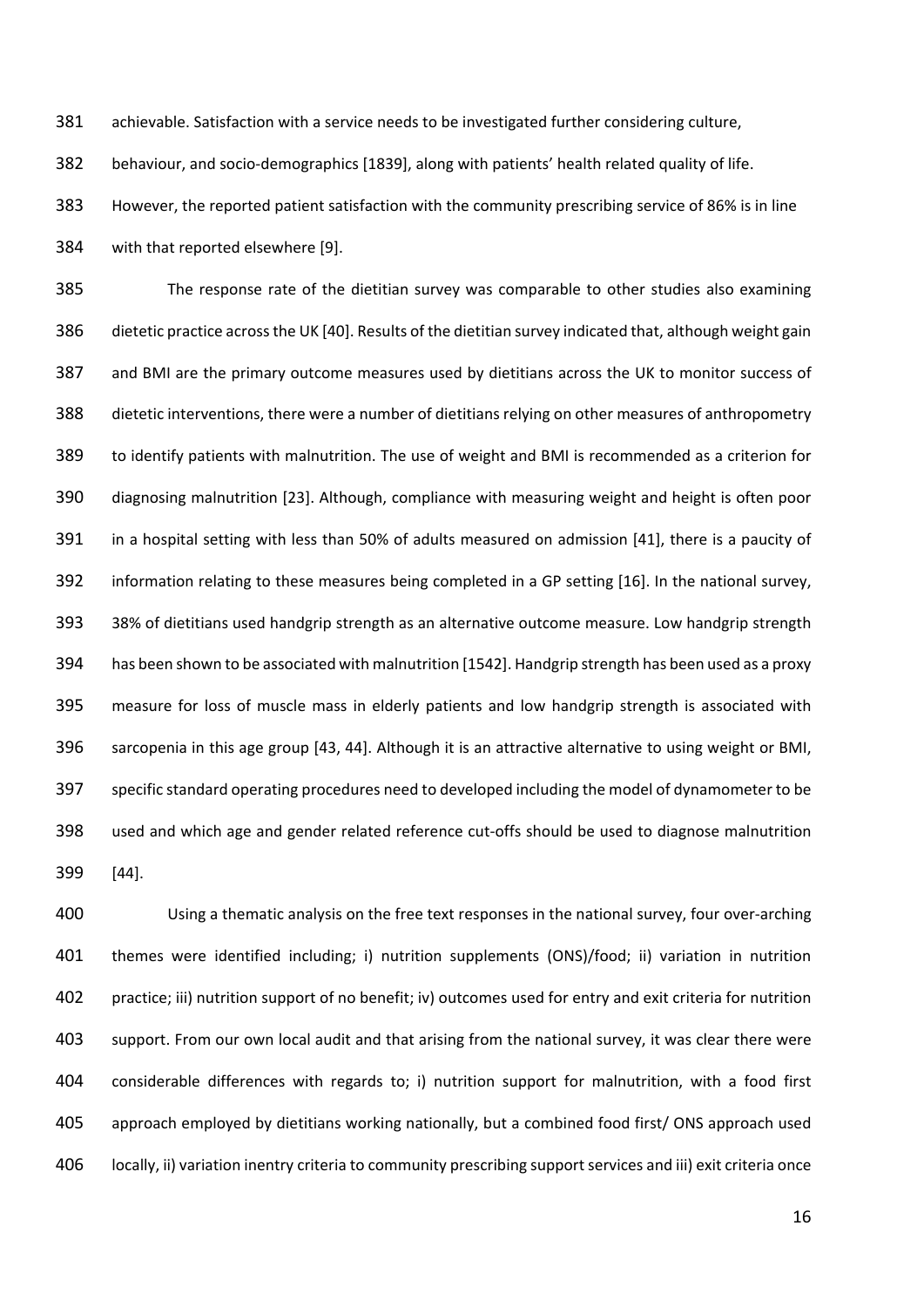achievable. Satisfaction with a service needs to be investigated further considering culture,

382 behaviour, and socio-demographics [1839], along with patients' health related quality of life.

However, the reported patient satisfaction with the community prescribing service of 86% is in line

with that reported elsewhere [9].

385 The response rate of the dietitian survey was comparable to other studies also examining dietetic practice across the UK [40]. Results of the dietitian survey indicated that, although weight gain and BMI are the primary outcome measures used by dietitians across the UK to monitor success of dietetic interventions, there were a number of dietitians relying on other measures of anthropometry to identify patients with malnutrition. The use of weight and BMI is recommended as a criterion for diagnosing malnutrition [23]. Although, compliance with measuring weight and height is often poor in a hospital setting with less than 50% of adults measured on admission [41], there is a paucity of information relating to these measures being completed in a GP setting [16]. In the national survey, 38% of dietitians used handgrip strength as an alternative outcome measure. Low handgrip strength has been shown to be associated with malnutrition [1542]. Handgrip strength has been used as a proxy measure for loss of muscle mass in elderly patients and low handgrip strength is associated with sarcopenia in this age group [43, 44]. Although it is an attractive alternative to using weight or BMI, specific standard operating procedures need to developed including the model of dynamometer to be 398 used and which age and gender related reference cut-offs should be used to diagnose malnutrition [44].

 Using a thematic analysis on the free text responses in the national survey, four over‐arching themes were identified including; i) nutrition supplements (ONS)/food; ii) variation in nutrition practice; iii) nutrition support of no benefit; iv) outcomes used for entry and exit criteria for nutrition support. From our own local audit and that arising from the national survey, it was clear there were considerable differences with regards to; i) nutrition support for malnutrition, with a food first approach employed by dietitians working nationally, but a combined food first/ ONS approach used locally, ii) variation inentry criteria to community prescribing support services and iii) exit criteria once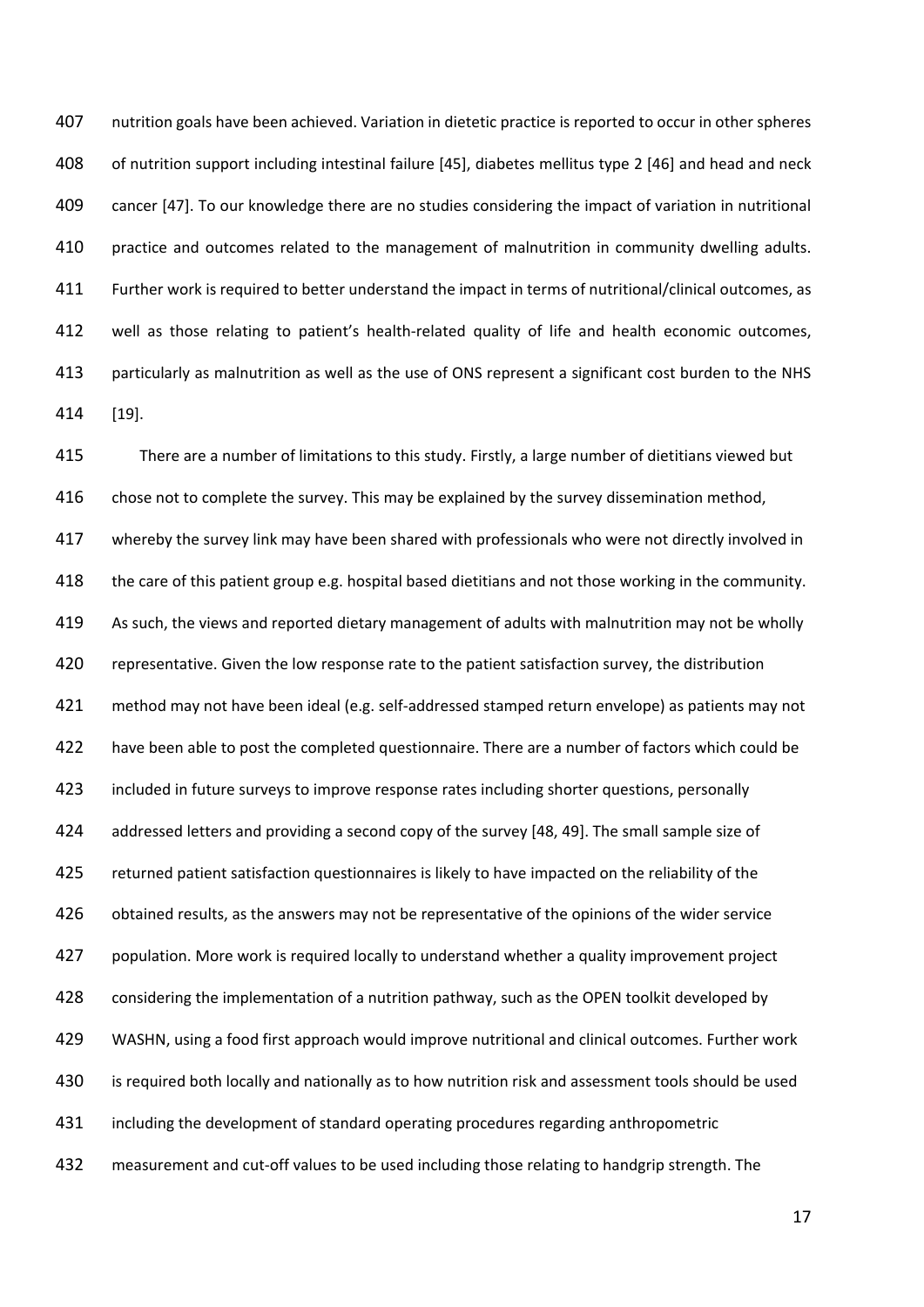nutrition goals have been achieved. Variation in dietetic practice is reported to occur in other spheres of nutrition support including intestinal failure [45], diabetes mellitus type 2 [46] and head and neck cancer [47]. To our knowledge there are no studies considering the impact of variation in nutritional 410 practice and outcomes related to the management of malnutrition in community dwelling adults. Further work is required to better understand the impact in terms of nutritional/clinical outcomes, as 412 well as those relating to patient's health-related quality of life and health economic outcomes, particularly as malnutrition as well as the use of ONS represent a significant cost burden to the NHS [19].

 There are a number of limitations to this study. Firstly, a large number of dietitians viewed but chose not to complete the survey. This may be explained by the survey dissemination method, whereby the survey link may have been shared with professionals who were not directly involved in the care of this patient group e.g. hospital based dietitians and not those working in the community. As such, the views and reported dietary management of adults with malnutrition may not be wholly 420 representative. Given the low response rate to the patient satisfaction survey, the distribution method may not have been ideal (e.g. self‐addressed stamped return envelope) as patients may not have been able to post the completed questionnaire. There are a number of factors which could be 423 included in future surveys to improve response rates including shorter questions, personally 424 addressed letters and providing a second copy of the survey [48, 49]. The small sample size of returned patient satisfaction questionnaires is likely to have impacted on the reliability of the obtained results, as the answers may not be representative of the opinions of the wider service population. More work is required locally to understand whether a quality improvement project considering the implementation of a nutrition pathway, such as the OPEN toolkit developed by WASHN, using a food first approach would improve nutritional and clinical outcomes. Further work 430 is required both locally and nationally as to how nutrition risk and assessment tools should be used including the development of standard operating procedures regarding anthropometric 432 measurement and cut-off values to be used including those relating to handgrip strength. The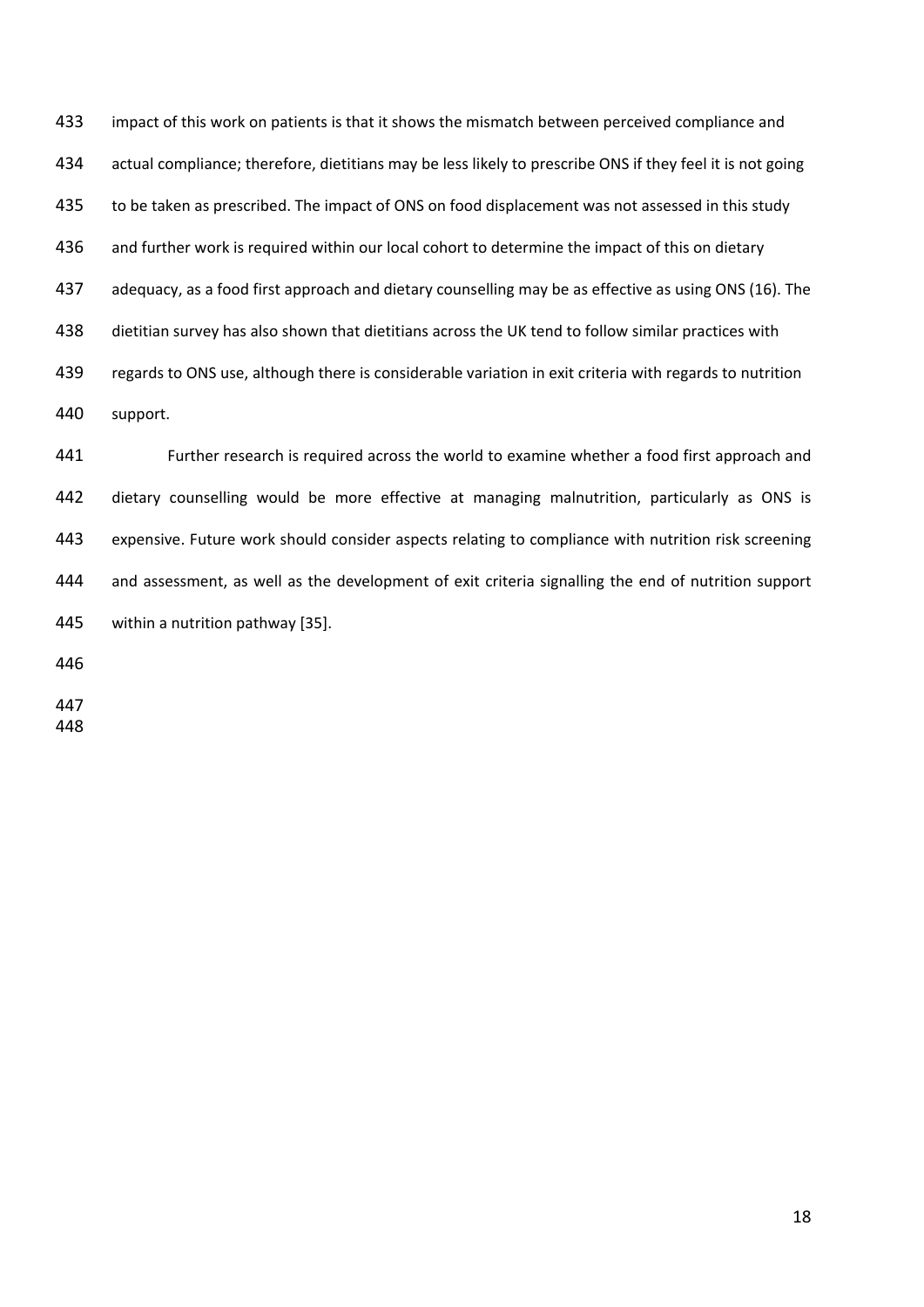433 impact of this work on patients is that it shows the mismatch between perceived compliance and 434 actual compliance; therefore, dietitians may be less likely to prescribe ONS if they feel it is not going to be taken as prescribed. The impact of ONS on food displacement was not assessed in this study 436 and further work is required within our local cohort to determine the impact of this on dietary adequacy, as a food first approach and dietary counselling may be as effective as using ONS (16). The dietitian survey has also shown that dietitians across the UK tend to follow similar practices with regards to ONS use, although there is considerable variation in exit criteria with regards to nutrition support.

 Further research is required across the world to examine whether a food first approach and dietary counselling would be more effective at managing malnutrition, particularly as ONS is expensive. Future work should consider aspects relating to compliance with nutrition risk screening and assessment, as well as the development of exit criteria signalling the end of nutrition support within a nutrition pathway [35].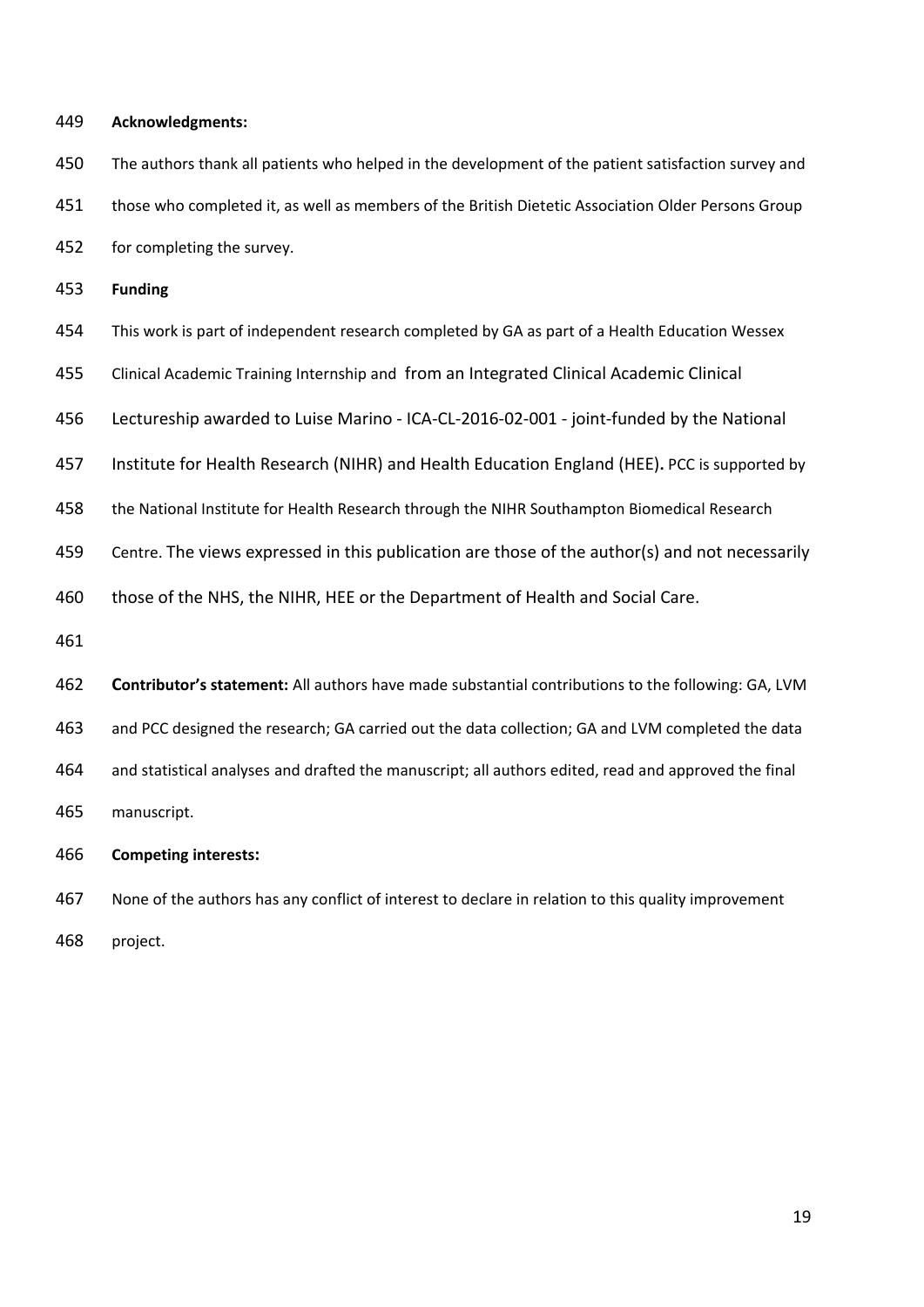#### **Acknowledgments:**

The authors thank all patients who helped in the development of the patient satisfaction survey and

those who completed it, as well as members of the British Dietetic Association Older Persons Group

for completing the survey.

**Funding** 

This work is part of independent research completed by GA as part of a Health Education Wessex

Clinical Academic Training Internship and from an Integrated Clinical Academic Clinical

- Lectureship awarded to Luise Marino ‐ ICA‐CL‐2016‐02‐001 ‐ joint‐funded by the National
- Institute for Health Research (NIHR) and Health Education England (HEE)**.** PCC is supported by
- the National Institute for Health Research through the NIHR Southampton Biomedical Research
- 459 Centre. The views expressed in this publication are those of the author(s) and not necessarily

those of the NHS, the NIHR, HEE or the Department of Health and Social Care.

- **Contributor's statement:** All authors have made substantial contributions to the following: GA, LVM and PCC designed the research; GA carried out the data collection; GA and LVM completed the data and statistical analyses and drafted the manuscript; all authors edited, read and approved the final manuscript.
- **Competing interests:**

 None of the authors has any conflict of interest to declare in relation to this quality improvement project.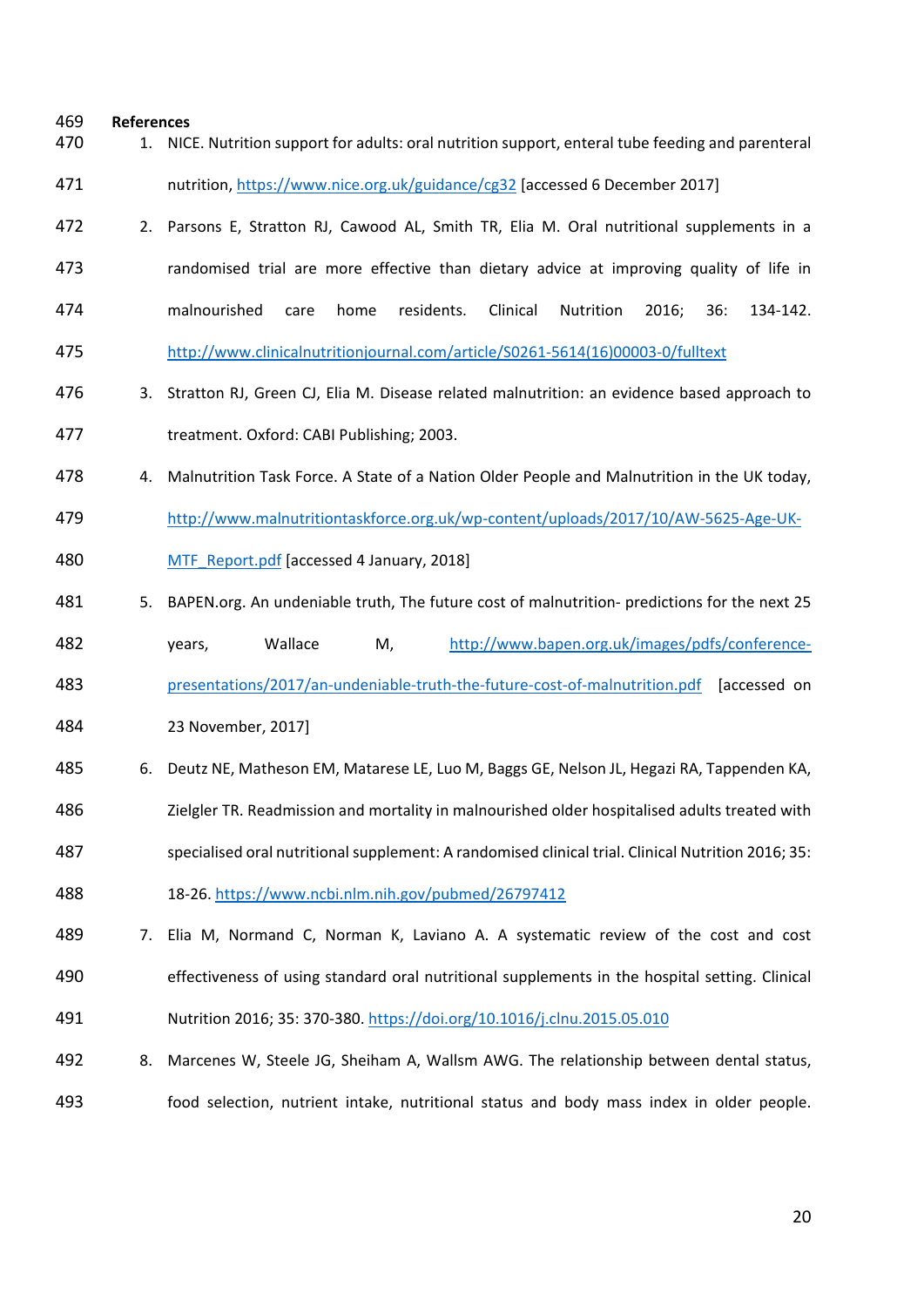#### **References**

- 1. NICE. Nutrition support for adults: oral nutrition support, enteral tube feeding and parenteral nutrition, https://www.nice.org.uk/guidance/cg32 [accessed 6 December 2017]
- 472 2. Parsons E, Stratton RJ, Cawood AL, Smith TR, Elia M. Oral nutritional supplements in a **randomised trial are more effective than dietary advice at improving quality of life in** malnourished care home residents. Clinical Nutrition 2016; 36: 134‐142.
- http://www.clinicalnutritionjournal.com/article/S0261‐5614(16)00003‐0/fulltext
- 3. Stratton RJ, Green CJ, Elia M. Disease related malnutrition: an evidence based approach to treatment. Oxford: CABI Publishing; 2003.
- 478 4. Malnutrition Task Force. A State of a Nation Older People and Malnutrition in the UK today,
- http://www.malnutritiontaskforce.org.uk/wp‐content/uploads/2017/10/AW‐5625‐Age‐UK‐
- MTF\_Report.pdf [accessed 4 January, 2018]
- **5.** BAPEN.org. An undeniable truth, The future cost of malnutrition- predictions for the next 25
- years, Wallace M, http://www.bapen.org.uk/images/pdfs/conference‐
- 483 presentations/2017/an-undeniable-truth-the-future-cost-of-malnutrition.pdf [accessed on 23 November, 2017]
- 6. Deutz NE, Matheson EM, Matarese LE, Luo M, Baggs GE, Nelson JL, Hegazi RA, Tappenden KA,
- Zielgler TR. Readmission and mortality in malnourished older hospitalised adults treated with
- specialised oral nutritional supplement: A randomised clinical trial. Clinical Nutrition 2016; 35:
- 18‐26. https://www.ncbi.nlm.nih.gov/pubmed/26797412
- 489 7. Elia M, Normand C, Norman K, Laviano A. A systematic review of the cost and cost effectiveness of using standard oral nutritional supplements in the hospital setting. Clinical Nutrition 2016; 35: 370‐380. https://doi.org/10.1016/j.clnu.2015.05.010
- 8. Marcenes W, Steele JG, Sheiham A, Wallsm AWG. The relationship between dental status, 493 food selection, nutrient intake, nutritional status and body mass index in older people.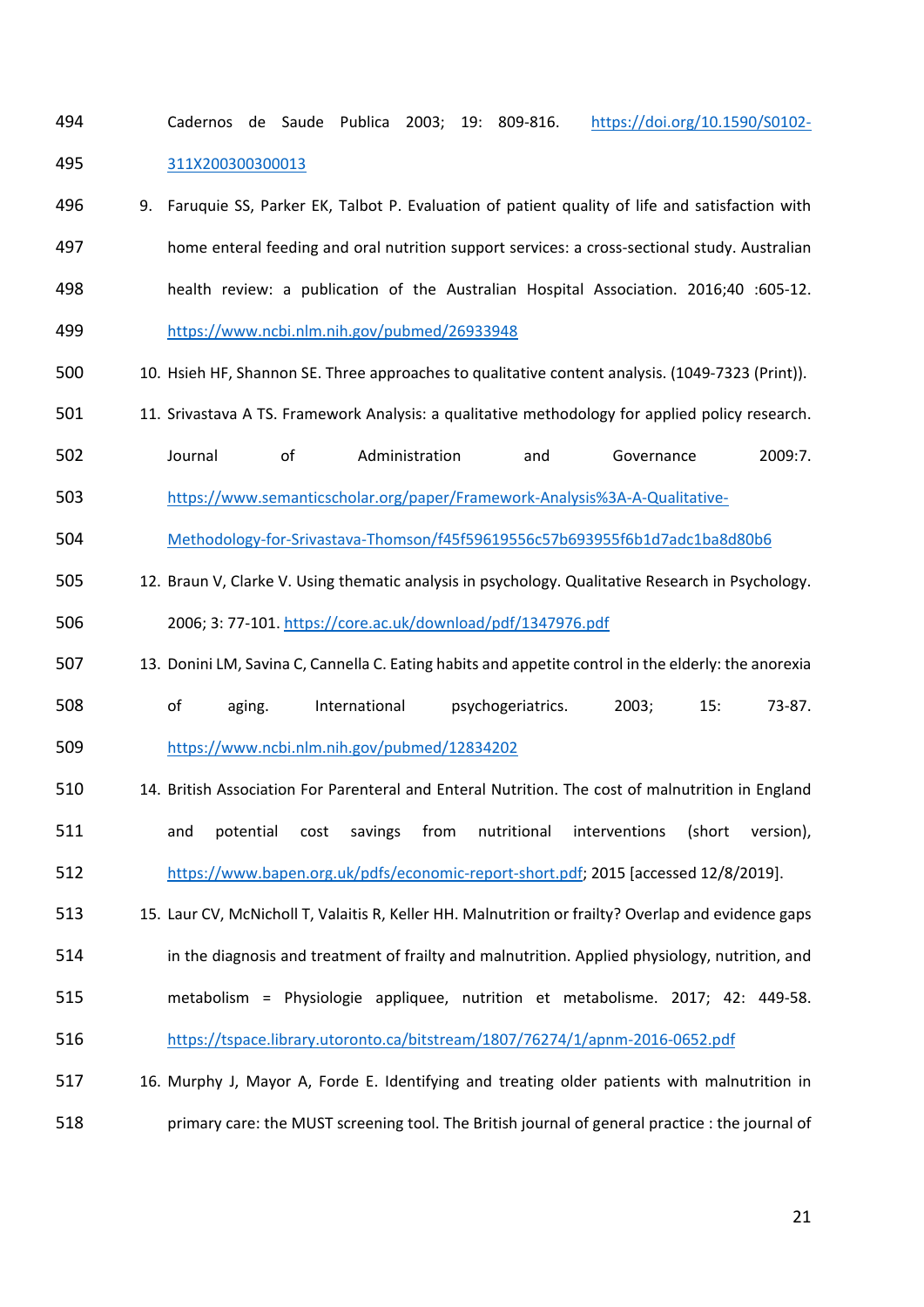- Cadernos de Saude Publica 2003; 19: 809‐816. https://doi.org/10.1590/S0102‐ 311X200300300013
- 9. Faruquie SS, Parker EK, Talbot P. Evaluation of patient quality of life and satisfaction with 497 home enteral feeding and oral nutrition support services: a cross-sectional study. Australian **health review: a publication of the Australian Hospital Association. 2016;40 :605-12.**
- https://www.ncbi.nlm.nih.gov/pubmed/26933948
- 500 10. Hsieh HF, Shannon SE. Three approaches to qualitative content analysis. (1049-7323 (Print)).
- 11. Srivastava A TS. Framework Analysis: a qualitative methodology for applied policy research.
- Journal of Administration and Governance 2009:7.
- https://www.semanticscholar.org/paper/Framework‐Analysis%3A‐A‐Qualitative‐
- Methodology‐for‐Srivastava‐Thomson/f45f59619556c57b693955f6b1d7adc1ba8d80b6
- 12. Braun V, Clarke V. Using thematic analysis in psychology. Qualitative Research in Psychology. 2006; 3: 77‐101. https://core.ac.uk/download/pdf/1347976.pdf
- 13. Donini LM, Savina C, Cannella C. Eating habits and appetite control in the elderly: the anorexia
- of aging. International psychogeriatrics. 2003; 15: 73‐87. https://www.ncbi.nlm.nih.gov/pubmed/12834202
- 14. British Association For Parenteral and Enteral Nutrition. The cost of malnutrition in England and potential cost savings from nutritional interventions (short version), 512 https://www.bapen.org.uk/pdfs/economic-report-short.pdf; 2015 [accessed 12/8/2019].
- 15. Laur CV, McNicholl T, Valaitis R, Keller HH. Malnutrition or frailty? Overlap and evidence gaps
- in the diagnosis and treatment of frailty and malnutrition. Applied physiology, nutrition, and
- metabolism = Physiologie appliquee, nutrition et metabolisme. 2017; 42: 449‐58.
- https://tspace.library.utoronto.ca/bitstream/1807/76274/1/apnm‐2016‐0652.pdf
- 517 16. Murphy J, Mayor A, Forde E. Identifying and treating older patients with malnutrition in primary care: the MUST screening tool. The British journal of general practice : the journal of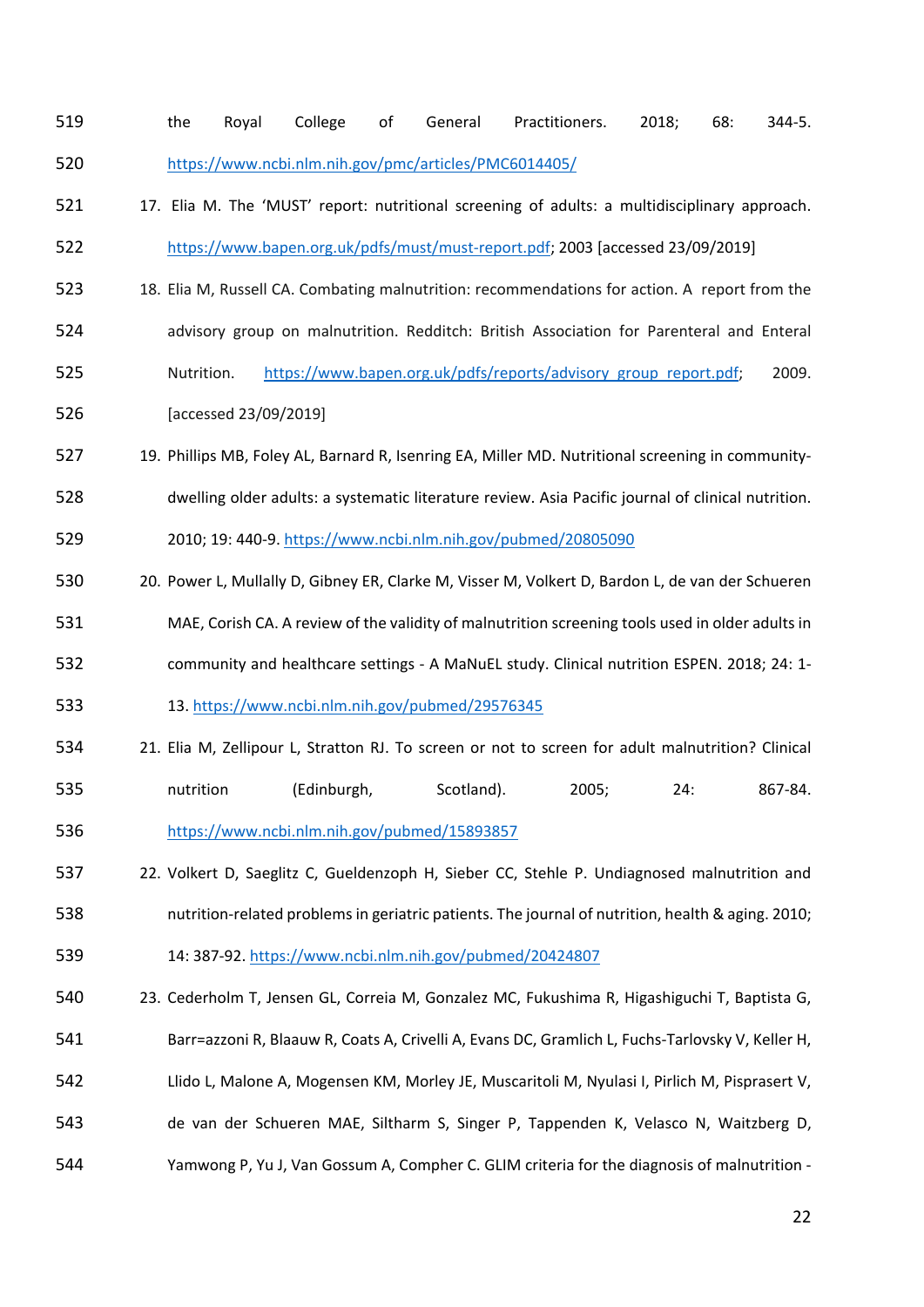- the Royal College of General Practitioners. 2018; 68: 344‐5. https://www.ncbi.nlm.nih.gov/pmc/articles/PMC6014405/
- 17. Elia M. The 'MUST' report: nutritional screening of adults: a multidisciplinary approach. https://www.bapen.org.uk/pdfs/must/must‐report.pdf; 2003 [accessed 23/09/2019]
- 18. Elia M, Russell CA. Combating malnutrition: recommendations for action. A report from the
- advisory group on malnutrition. Redditch: British Association for Parenteral and Enteral
- 525 Nutrition. https://www.bapen.org.uk/pdfs/reports/advisory\_group\_report.pdf; 2009.
- [accessed 23/09/2019]
- 19. Phillips MB, Foley AL, Barnard R, Isenring EA, Miller MD. Nutritional screening in community‐
- dwelling older adults: a systematic literature review. Asia Pacific journal of clinical nutrition.

2010; 19: 440‐9. https://www.ncbi.nlm.nih.gov/pubmed/20805090

- 20. Power L, Mullally D, Gibney ER, Clarke M, Visser M, Volkert D, Bardon L, de van der Schueren MAE, Corish CA. A review of the validity of malnutrition screening tools used in older adults in 532 community and healthcare settings - A MaNuEL study. Clinical nutrition ESPEN. 2018; 24: 1-
- 13. https://www.ncbi.nlm.nih.gov/pubmed/29576345
- 21. Elia M, Zellipour L, Stratton RJ. To screen or not to screen for adult malnutrition? Clinical nutrition (Edinburgh, Scotland). 2005; 24: 867‐84. https://www.ncbi.nlm.nih.gov/pubmed/15893857
- 22. Volkert D, Saeglitz C, Gueldenzoph H, Sieber CC, Stehle P. Undiagnosed malnutrition and nutrition‐related problems in geriatric patients. The journal of nutrition, health & aging. 2010;
- 14: 387‐92. https://www.ncbi.nlm.nih.gov/pubmed/20424807
- 23. Cederholm T, Jensen GL, Correia M, Gonzalez MC, Fukushima R, Higashiguchi T, Baptista G,
- Barr=azzoni R, Blaauw R, Coats A, Crivelli A, Evans DC, Gramlich L, Fuchs‐Tarlovsky V, Keller H,
- Llido L, Malone A, Mogensen KM, Morley JE, Muscaritoli M, Nyulasi I, Pirlich M, Pisprasert V,
- de van der Schueren MAE, Siltharm S, Singer P, Tappenden K, Velasco N, Waitzberg D,
- Yamwong P, Yu J, Van Gossum A, Compher C. GLIM criteria for the diagnosis of malnutrition ‐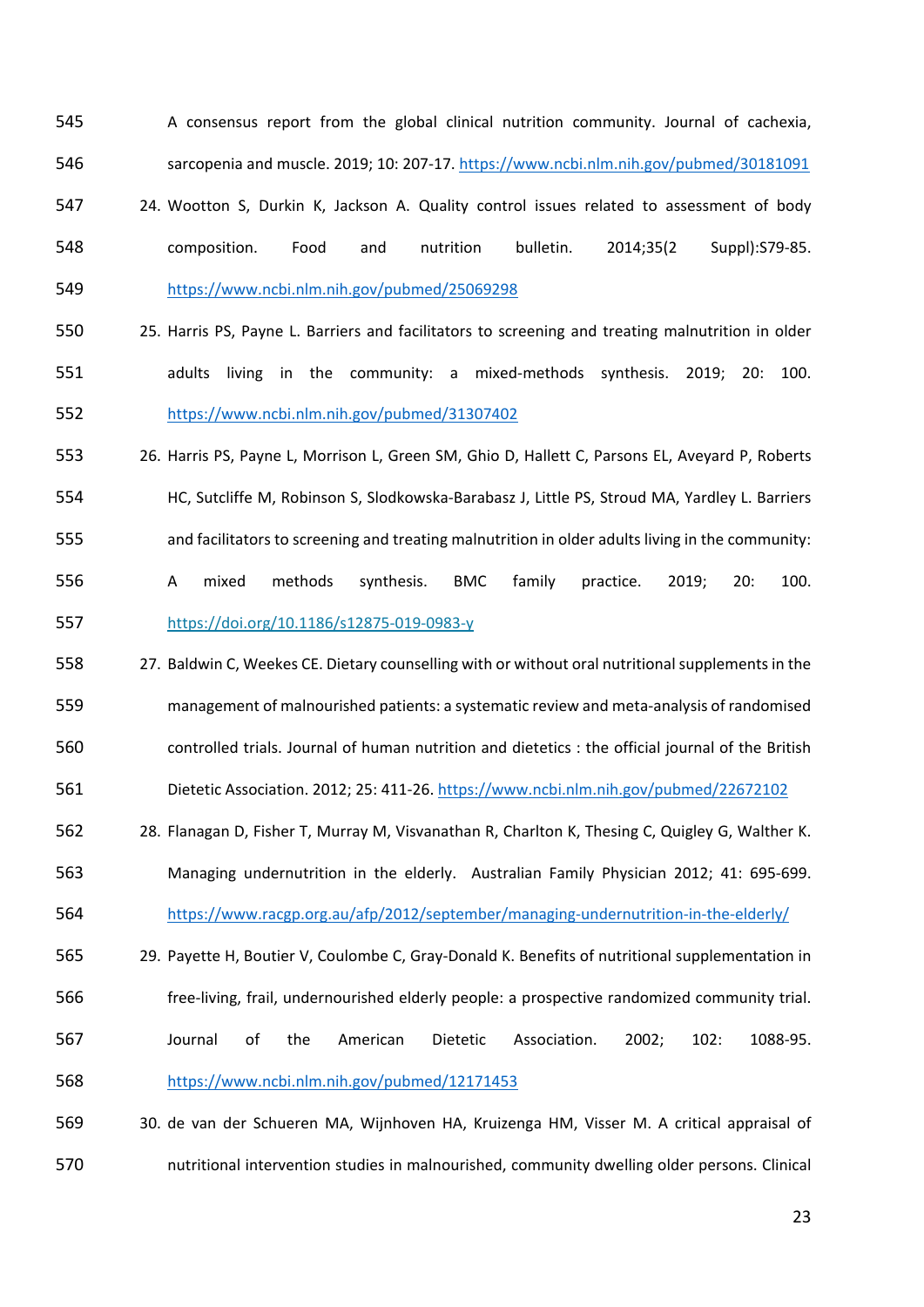- A consensus report from the global clinical nutrition community. Journal of cachexia, sarcopenia and muscle. 2019; 10: 207‐17. https://www.ncbi.nlm.nih.gov/pubmed/30181091
- 547 24. Wootton S, Durkin K, Jackson A. Quality control issues related to assessment of body composition. Food and nutrition bulletin. 2014;35(2 Suppl):S79‐85. https://www.ncbi.nlm.nih.gov/pubmed/25069298
- 25. Harris PS, Payne L. Barriers and facilitators to screening and treating malnutrition in older 551 adults living in the community: a mixed-methods synthesis. 2019; 20: 100. https://www.ncbi.nlm.nih.gov/pubmed/31307402
- 26. Harris PS, Payne L, Morrison L, Green SM, Ghio D, Hallett C, Parsons EL, Aveyard P, Roberts HC, Sutcliffe M, Robinson S, Slodkowska‐Barabasz J, Little PS, Stroud MA, Yardley L. Barriers and facilitators to screening and treating malnutrition in older adults living in the community: A mixed methods synthesis. BMC family practice. 2019; 20: 100. https://doi.org/10.1186/s12875‐019‐0983‐y
- 27. Baldwin C, Weekes CE. Dietary counselling with or without oral nutritional supplements in the management of malnourished patients: a systematic review and meta‐analysis of randomised
- controlled trials. Journal of human nutrition and dietetics : the official journal of the British
- Dietetic Association. 2012; 25: 411‐26. https://www.ncbi.nlm.nih.gov/pubmed/22672102
- 28. Flanagan D, Fisher T, Murray M, Visvanathan R, Charlton K, Thesing C, Quigley G, Walther K. 563 Managing undernutrition in the elderly. Australian Family Physician 2012; 41: 695-699. https://www.racgp.org.au/afp/2012/september/managing‐undernutrition‐in‐the‐elderly/
- 565 29. Payette H, Boutier V, Coulombe C, Gray-Donald K. Benefits of nutritional supplementation in free‐living, frail, undernourished elderly people: a prospective randomized community trial. Journal of the American Dietetic Association. 2002; 102: 1088‐95. https://www.ncbi.nlm.nih.gov/pubmed/12171453
- 30. de van der Schueren MA, Wijnhoven HA, Kruizenga HM, Visser M. A critical appraisal of nutritional intervention studies in malnourished, community dwelling older persons. Clinical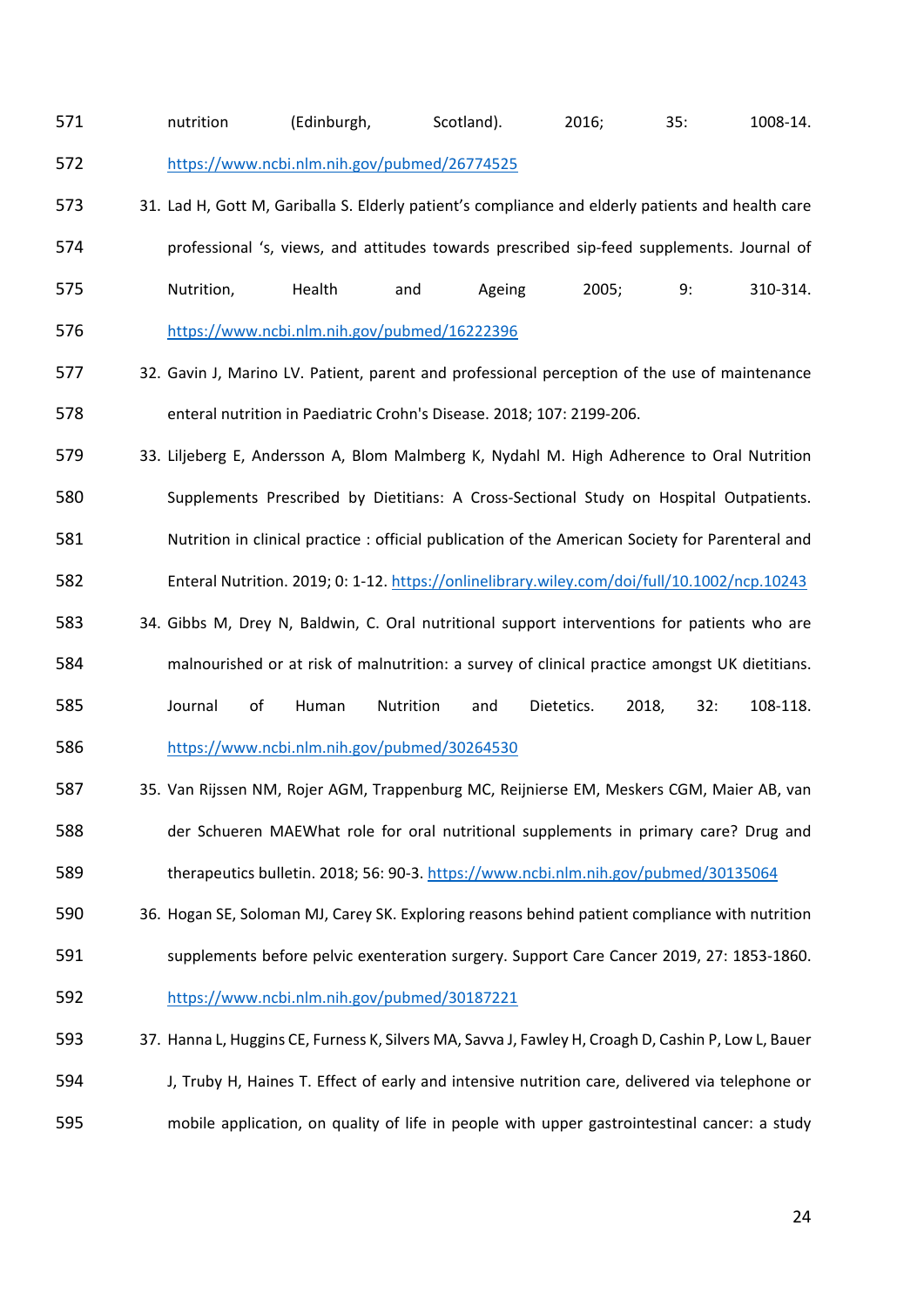nutrition (Edinburgh, Scotland). 2016; 35: 1008‐14. https://www.ncbi.nlm.nih.gov/pubmed/26774525

- 31. Lad H, Gott M, Gariballa S. Elderly patient's compliance and elderly patients and health care 574 professional 's, views, and attitudes towards prescribed sip-feed supplements. Journal of Nutrition, Health and Ageing 2005; 9: 310‐314. https://www.ncbi.nlm.nih.gov/pubmed/16222396
- 577 32. Gavin J, Marino LV. Patient, parent and professional perception of the use of maintenance enteral nutrition in Paediatric Crohn's Disease. 2018; 107: 2199‐206.
- 33. Liljeberg E, Andersson A, Blom Malmberg K, Nydahl M. High Adherence to Oral Nutrition 580 Supplements Prescribed by Dietitians: A Cross-Sectional Study on Hospital Outpatients.
- Nutrition in clinical practice : official publication of the American Society for Parenteral and
- Enteral Nutrition. 2019; 0: 1‐12. https://onlinelibrary.wiley.com/doi/full/10.1002/ncp.10243
- 34. Gibbs M, Drey N, Baldwin, C. Oral nutritional support interventions for patients who are malnourished or at risk of malnutrition: a survey of clinical practice amongst UK dietitians. Journal of Human Nutrition and Dietetics. 2018, 32: 108‐118.
- https://www.ncbi.nlm.nih.gov/pubmed/30264530
- 35. Van Rijssen NM, Rojer AGM, Trappenburg MC, Reijnierse EM, Meskers CGM, Maier AB, van der Schueren MAEWhat role for oral nutritional supplements in primary care? Drug and
- 589 therapeutics bulletin. 2018; 56: 90-3. https://www.ncbi.nlm.nih.gov/pubmed/30135064
- 36. Hogan SE, Soloman MJ, Carey SK. Exploring reasons behind patient compliance with nutrition 591 supplements before pelvic exenteration surgery. Support Care Cancer 2019, 27: 1853-1860. https://www.ncbi.nlm.nih.gov/pubmed/30187221
- 37. Hanna L, Huggins CE, Furness K, Silvers MA, Savva J, Fawley H, Croagh D, Cashin P, Low L, Bauer J, Truby H, Haines T. Effect of early and intensive nutrition care, delivered via telephone or mobile application, on quality of life in people with upper gastrointestinal cancer: a study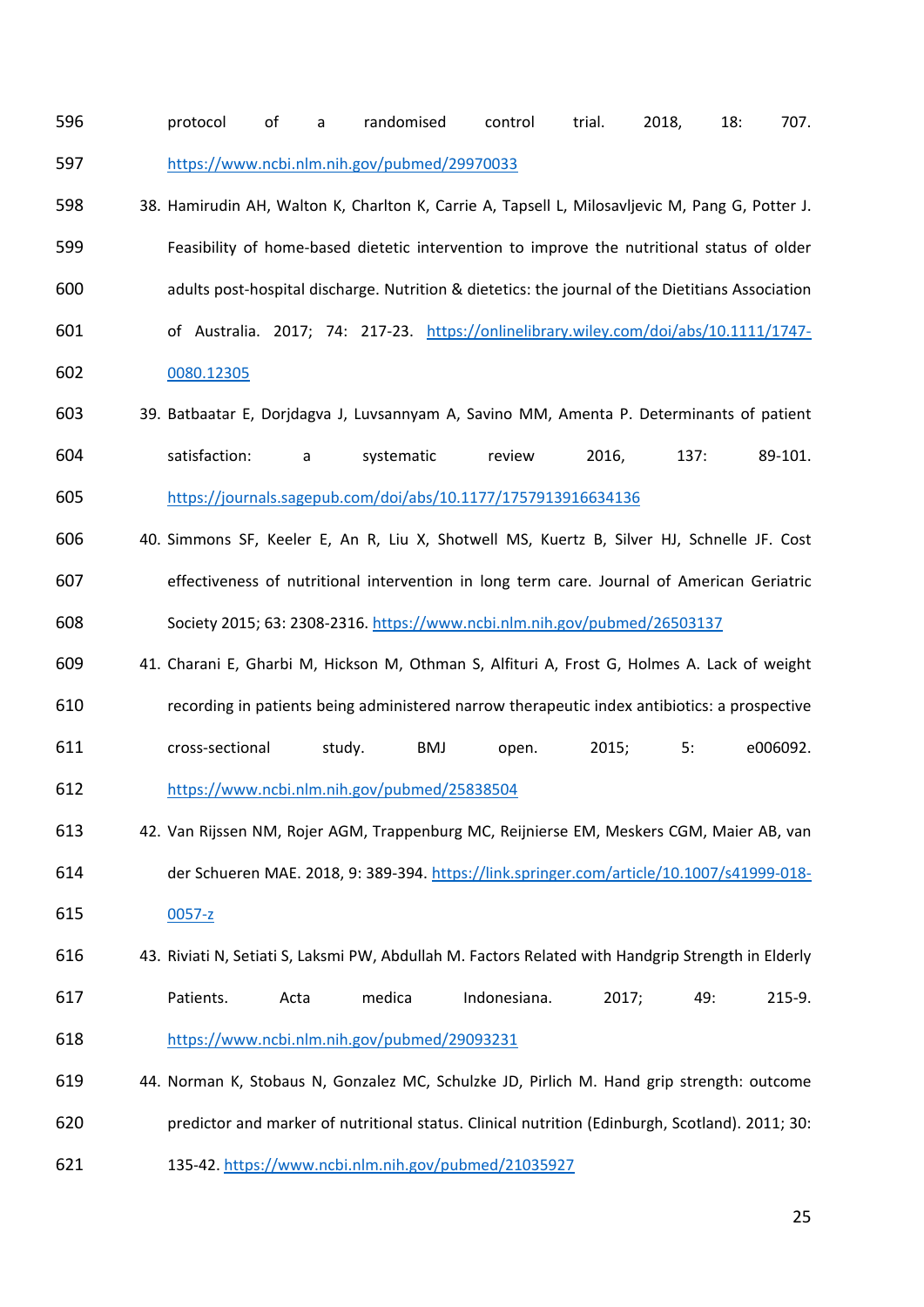- protocol of a randomised control trial. 2018, 18: 707. https://www.ncbi.nlm.nih.gov/pubmed/29970033
- 38. Hamirudin AH, Walton K, Charlton K, Carrie A, Tapsell L, Milosavljevic M, Pang G, Potter J. 599 Feasibility of home-based dietetic intervention to improve the nutritional status of older 600 adults post-hospital discharge. Nutrition & dietetics: the journal of the Dietitians Association
- of Australia. 2017; 74: 217‐23. https://onlinelibrary.wiley.com/doi/abs/10.1111/1747‐ 0080.12305
- 39. Batbaatar E, Dorjdagva J, Luvsannyam A, Savino MM, Amenta P. Determinants of patient satisfaction: a systematic review 2016, 137: 89‐101. https://journals.sagepub.com/doi/abs/10.1177/1757913916634136
- 40. Simmons SF, Keeler E, An R, Liu X, Shotwell MS, Kuertz B, Silver HJ, Schnelle JF. Cost effectiveness of nutritional intervention in long term care. Journal of American Geriatric Society 2015; 63: 2308‐2316. https://www.ncbi.nlm.nih.gov/pubmed/26503137
- 41. Charani E, Gharbi M, Hickson M, Othman S, Alfituri A, Frost G, Holmes A. Lack of weight recording in patients being administered narrow therapeutic index antibiotics: a prospective cross‐sectional study. BMJ open. 2015; 5: e006092.
- https://www.ncbi.nlm.nih.gov/pubmed/25838504
- 42. Van Rijssen NM, Rojer AGM, Trappenburg MC, Reijnierse EM, Meskers CGM, Maier AB, van
- der Schueren MAE. 2018, 9: 389‐394. https://link.springer.com/article/10.1007/s41999‐018‐
- 0057‐z
- 43. Riviati N, Setiati S, Laksmi PW, Abdullah M. Factors Related with Handgrip Strength in Elderly Patients. Acta medica Indonesiana. 2017; 49: 215‐9. https://www.ncbi.nlm.nih.gov/pubmed/29093231
- 44. Norman K, Stobaus N, Gonzalez MC, Schulzke JD, Pirlich M. Hand grip strength: outcome predictor and marker of nutritional status. Clinical nutrition (Edinburgh, Scotland). 2011; 30:
- 135‐42. https://www.ncbi.nlm.nih.gov/pubmed/21035927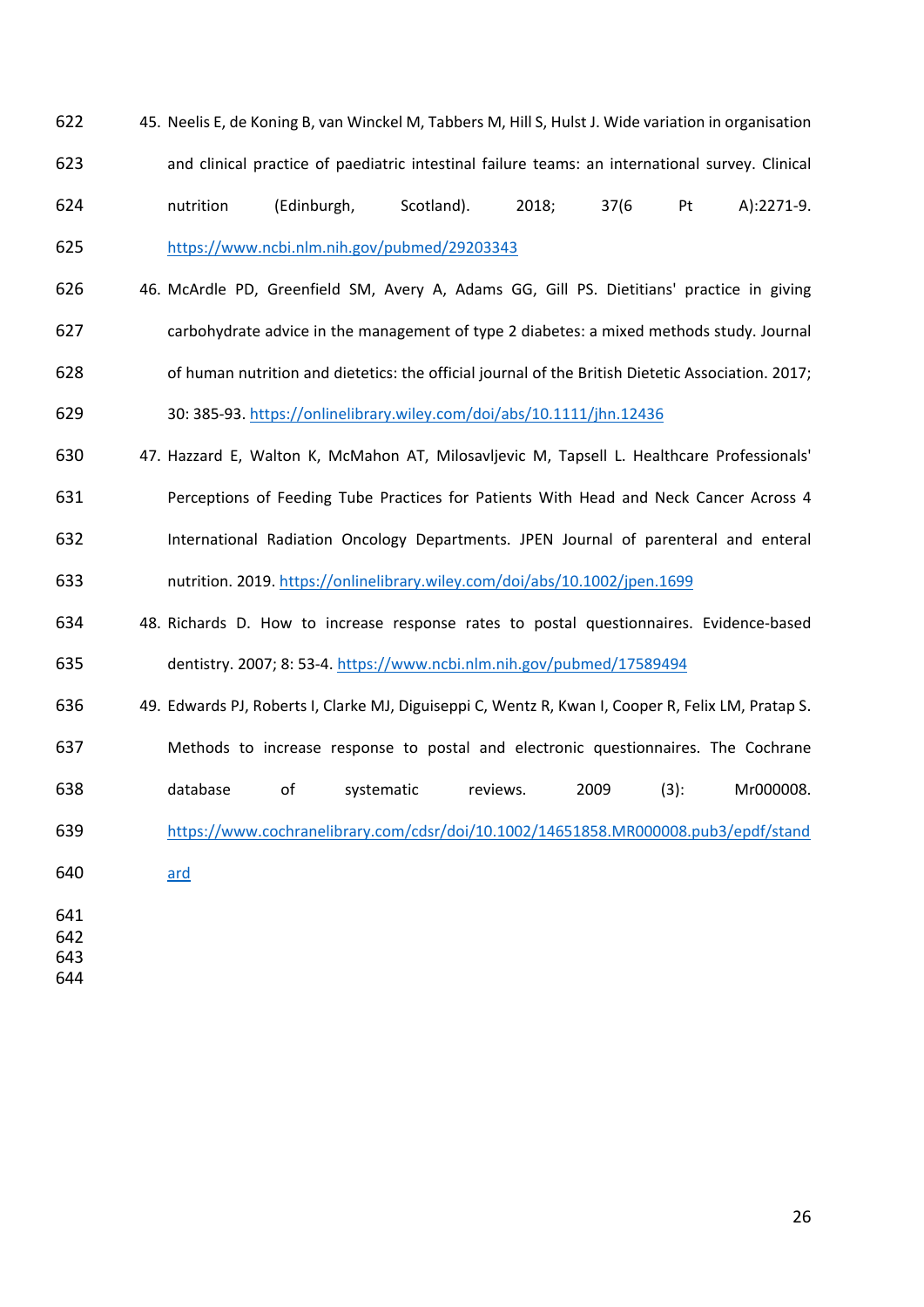- 45. Neelis E, de Koning B, van Winckel M, Tabbers M, Hill S, Hulst J. Wide variation in organisation and clinical practice of paediatric intestinal failure teams: an international survey. Clinical nutrition (Edinburgh, Scotland). 2018; 37(6 Pt A):2271‐9. https://www.ncbi.nlm.nih.gov/pubmed/29203343
- 46. McArdle PD, Greenfield SM, Avery A, Adams GG, Gill PS. Dietitians' practice in giving carbohydrate advice in the management of type 2 diabetes: a mixed methods study. Journal
- of human nutrition and dietetics: the official journal of the British Dietetic Association. 2017;
- 30: 385‐93. https://onlinelibrary.wiley.com/doi/abs/10.1111/jhn.12436
- 47. Hazzard E, Walton K, McMahon AT, Milosavljevic M, Tapsell L. Healthcare Professionals' **Perceptions of Feeding Tube Practices for Patients With Head and Neck Cancer Across 4**  International Radiation Oncology Departments. JPEN Journal of parenteral and enteral nutrition. 2019. https://onlinelibrary.wiley.com/doi/abs/10.1002/jpen.1699
- 48. Richards D. How to increase response rates to postal questionnaires. Evidence‐based dentistry. 2007; 8: 53‐4. https://www.ncbi.nlm.nih.gov/pubmed/17589494
- 49. Edwards PJ, Roberts I, Clarke MJ, Diguiseppi C, Wentz R, Kwan I, Cooper R, Felix LM, Pratap S. Methods to increase response to postal and electronic questionnaires. The Cochrane database of systematic reviews. 2009 (3): Mr000008. https://www.cochranelibrary.com/cdsr/doi/10.1002/14651858.MR000008.pub3/epdf/stand 640 <u>ard</u>
- 
- 
-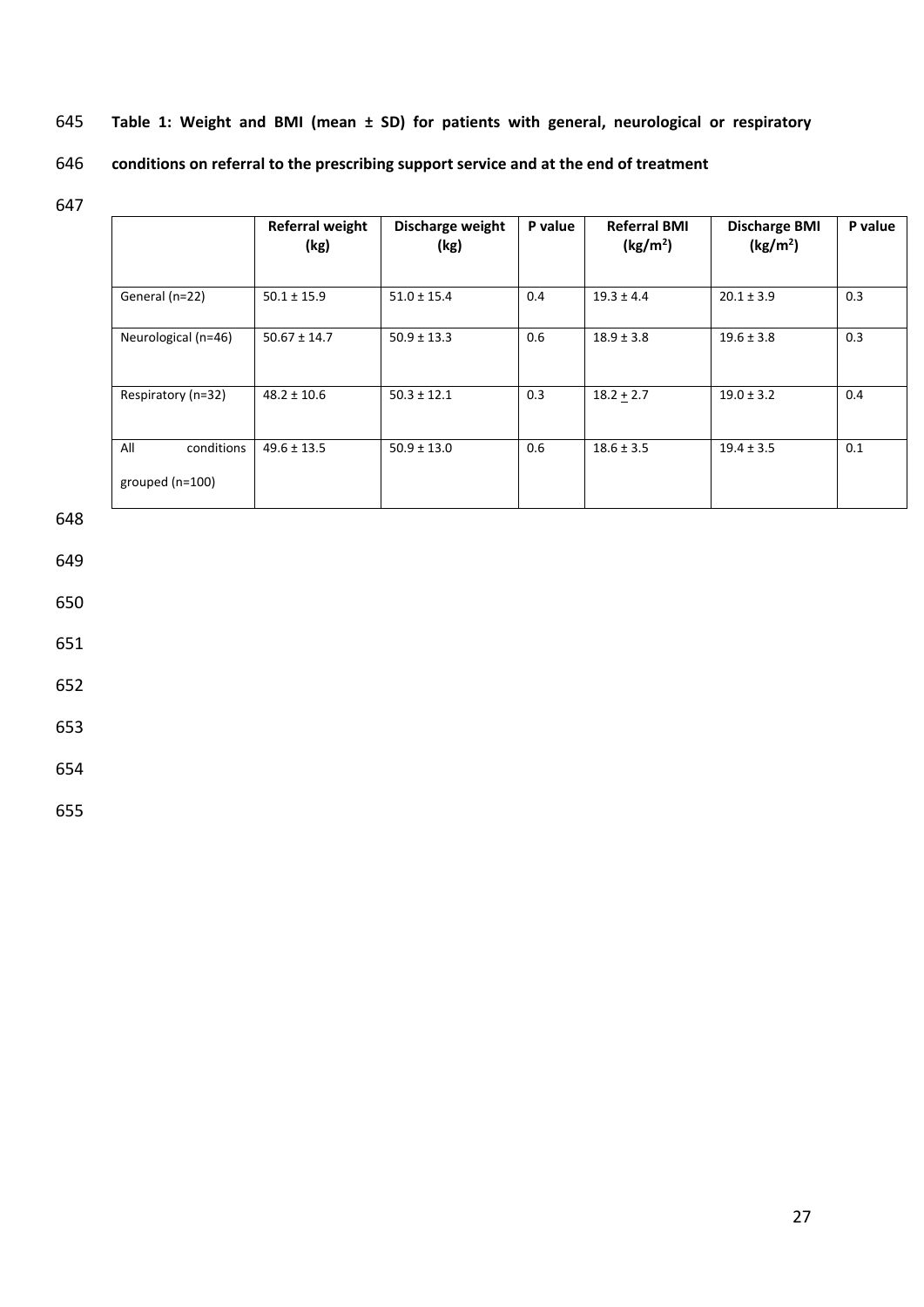- 645 **Table 1: Weight and BMI (mean ± SD) for patients with general, neurological or respiratory**
- 646 **conditions on referral to the prescribing support service and at the end of treatment**
- 647

|                                        | <b>Referral weight</b><br>(kg) | Discharge weight<br>(kg) | P value | <b>Referral BMI</b><br>(kg/m <sup>2</sup> ) | <b>Discharge BMI</b><br>(kg/m <sup>2</sup> ) | P value |
|----------------------------------------|--------------------------------|--------------------------|---------|---------------------------------------------|----------------------------------------------|---------|
|                                        |                                |                          |         |                                             |                                              |         |
| General (n=22)                         | $50.1 \pm 15.9$                | $51.0 \pm 15.4$          | 0.4     | $19.3 \pm 4.4$                              | $20.1 \pm 3.9$                               | 0.3     |
| Neurological (n=46)                    | $50.67 \pm 14.7$               | $50.9 \pm 13.3$          | 0.6     | $18.9 \pm 3.8$                              | $19.6 \pm 3.8$                               | 0.3     |
| Respiratory (n=32)                     | $48.2 \pm 10.6$                | $50.3 \pm 12.1$          | 0.3     | $18.2 + 2.7$                                | $19.0 \pm 3.2$                               | 0.4     |
| All<br>conditions<br>grouped $(n=100)$ | $49.6 \pm 13.5$                | $50.9 \pm 13.0$          | 0.6     | $18.6 \pm 3.5$                              | $19.4 \pm 3.5$                               | 0.1     |

648

649

650

651

652

653

654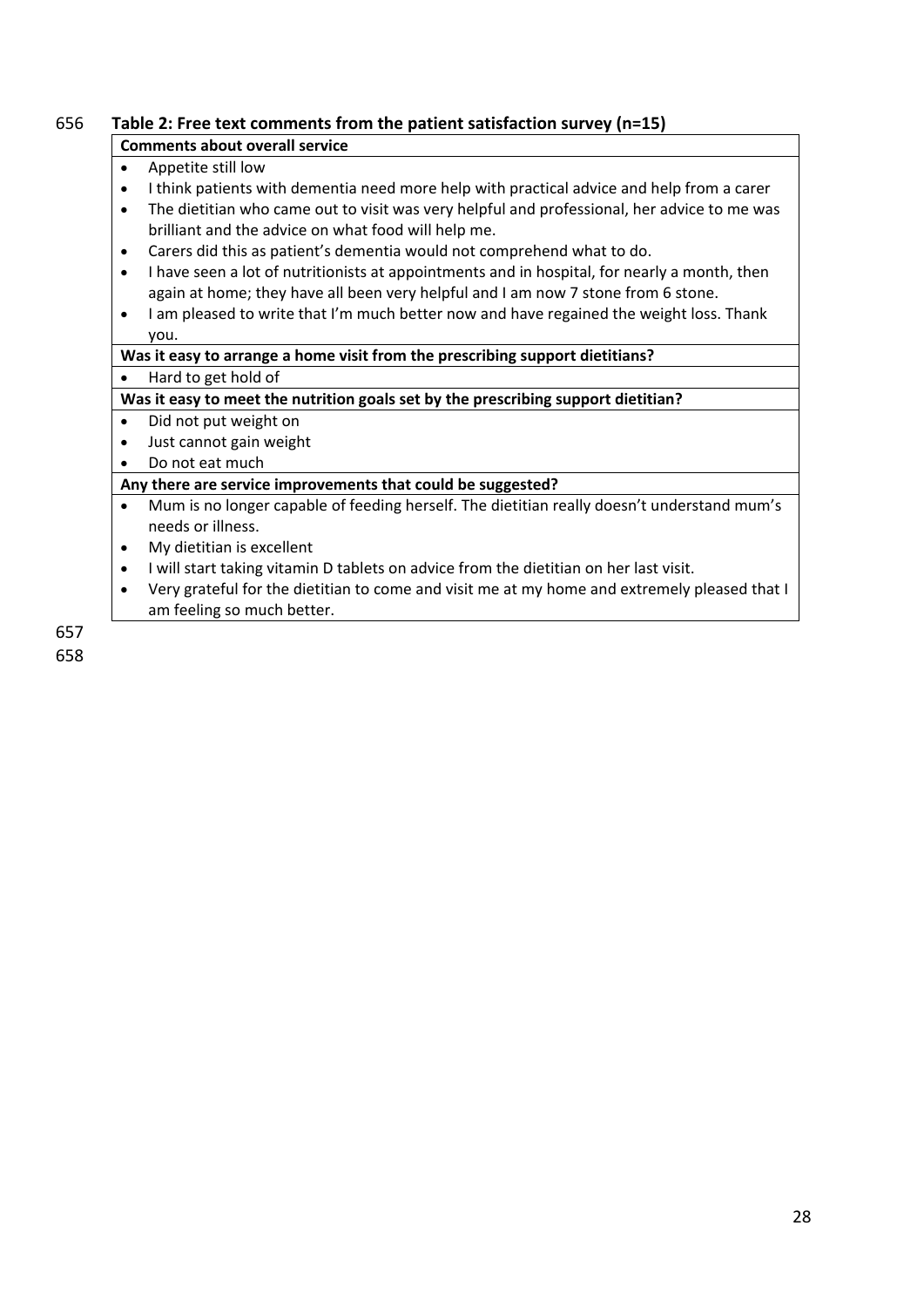### 656 **Table 2: Free text comments from the patient satisfaction survey (n=15)**

### **Comments about overall service**

- Appetite still low
- I think patients with dementia need more help with practical advice and help from a carer
- The dietitian who came out to visit was very helpful and professional, her advice to me was brilliant and the advice on what food will help me.
- Carers did this as patient's dementia would not comprehend what to do.
- I have seen a lot of nutritionists at appointments and in hospital, for nearly a month, then again at home; they have all been very helpful and I am now 7 stone from 6 stone.
- I am pleased to write that I'm much better now and have regained the weight loss. Thank you.

### **Was it easy to arrange a home visit from the prescribing support dietitians?**

Hard to get hold of

### **Was it easy to meet the nutrition goals set by the prescribing support dietitian?**

- Did not put weight on
- Just cannot gain weight

Do not eat much

### **Any there are service improvements that could be suggested?**

- Mum is no longer capable of feeding herself. The dietitian really doesn't understand mum's needs or illness.
- My dietitian is excellent
- I will start taking vitamin D tablets on advice from the dietitian on her last visit.
- Very grateful for the dietitian to come and visit me at my home and extremely pleased that I am feeling so much better.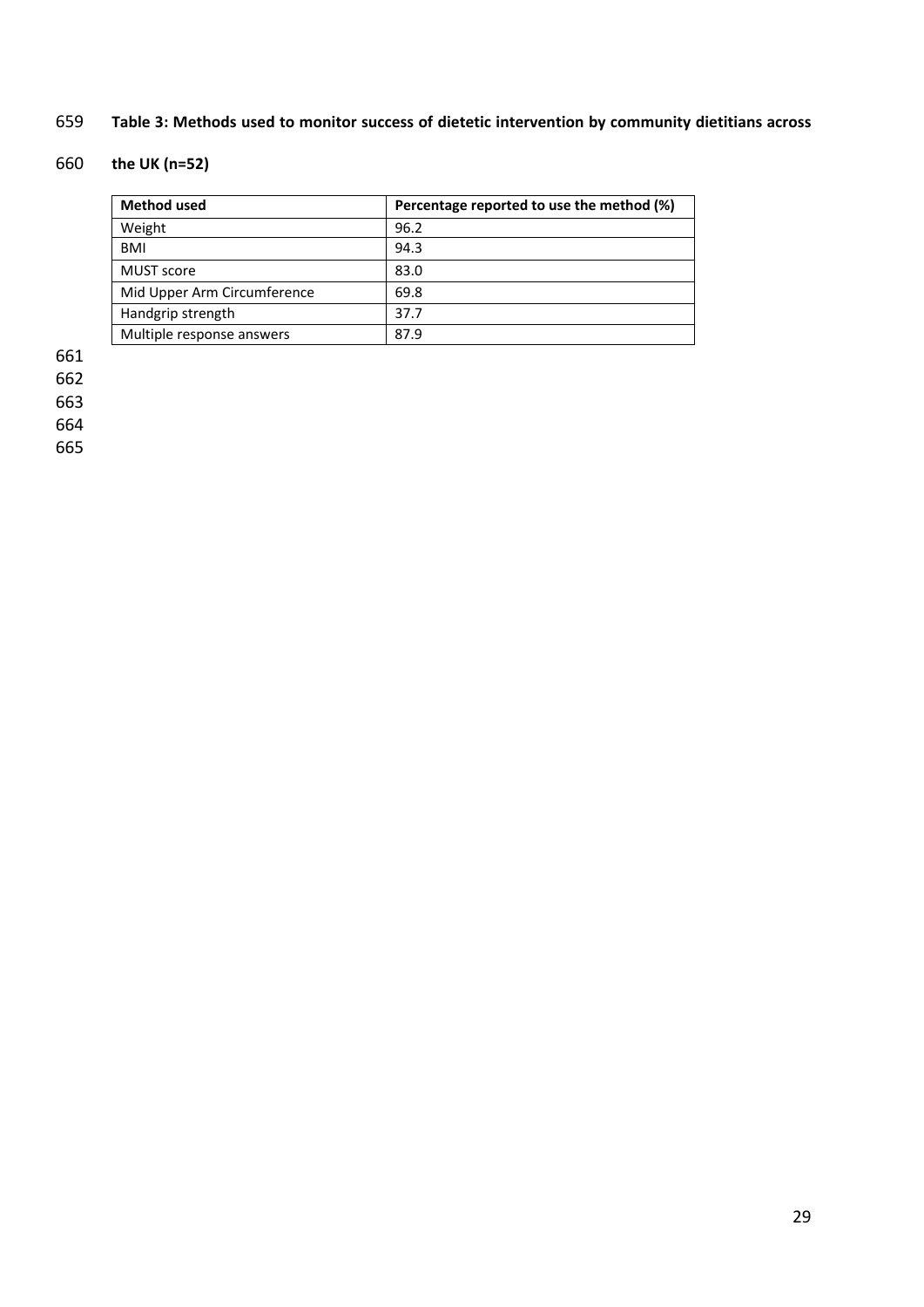## 659 **Table 3: Methods used to monitor success of dietetic intervention by community dietitians across**

## 660 **the UK (n=52)**

| <b>Method used</b>          | Percentage reported to use the method (%) |
|-----------------------------|-------------------------------------------|
| Weight                      | 96.2                                      |
| <b>BMI</b>                  | 94.3                                      |
| <b>MUST</b> score           | 83.0                                      |
| Mid Upper Arm Circumference | 69.8                                      |
| Handgrip strength           | 37.7                                      |
| Multiple response answers   | 87.9                                      |

661

662

663

664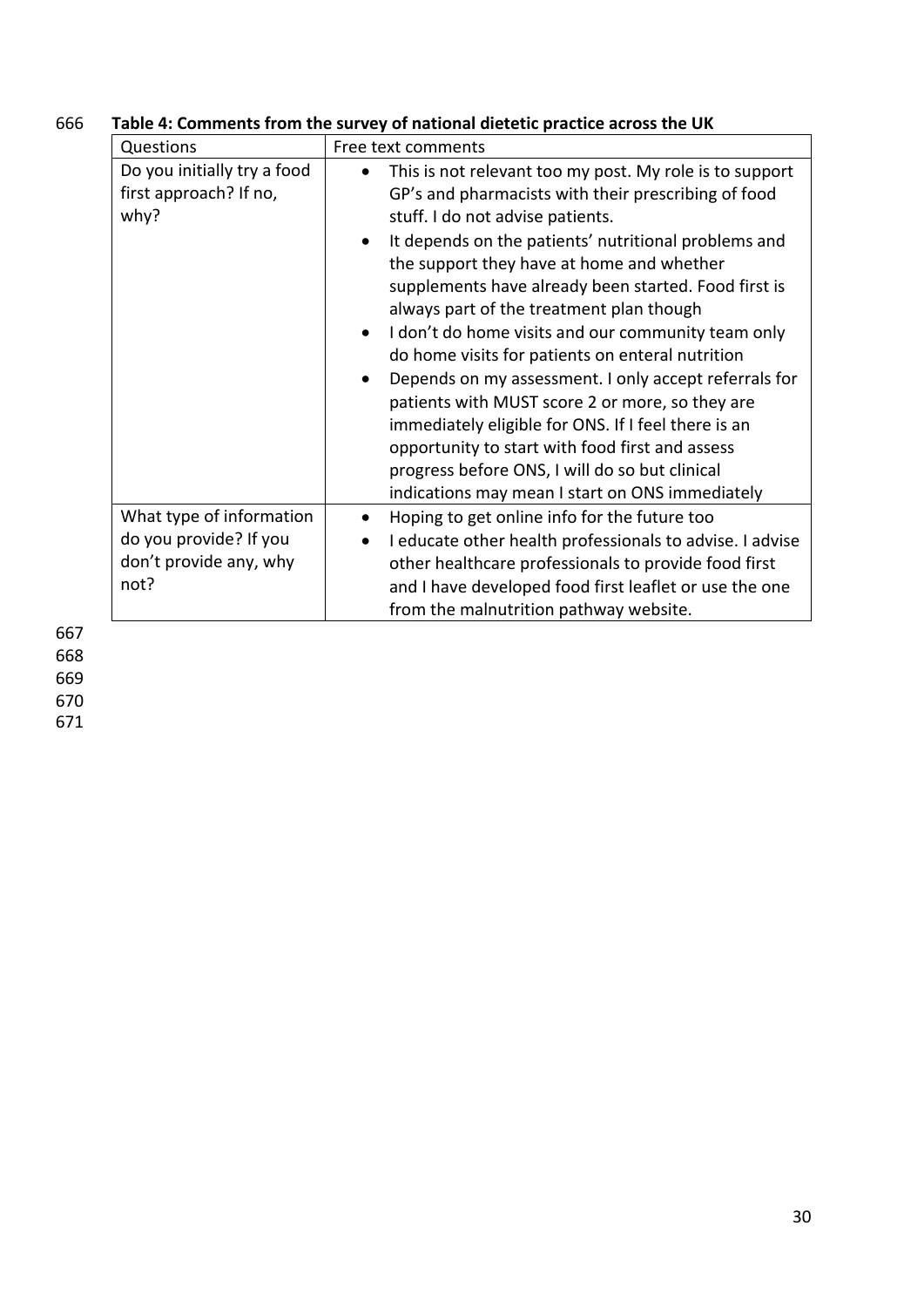| Questions                                                                            | Free text comments                                                                                                                                                                                                                                                                                                                                                                                                                                                                                                                                                                                                                                                                                                                                                                                                                                   |
|--------------------------------------------------------------------------------------|------------------------------------------------------------------------------------------------------------------------------------------------------------------------------------------------------------------------------------------------------------------------------------------------------------------------------------------------------------------------------------------------------------------------------------------------------------------------------------------------------------------------------------------------------------------------------------------------------------------------------------------------------------------------------------------------------------------------------------------------------------------------------------------------------------------------------------------------------|
| Do you initially try a food<br>first approach? If no,<br>why?                        | This is not relevant too my post. My role is to support<br>$\bullet$<br>GP's and pharmacists with their prescribing of food<br>stuff. I do not advise patients.<br>It depends on the patients' nutritional problems and<br>$\bullet$<br>the support they have at home and whether<br>supplements have already been started. Food first is<br>always part of the treatment plan though<br>I don't do home visits and our community team only<br>$\bullet$<br>do home visits for patients on enteral nutrition<br>Depends on my assessment. I only accept referrals for<br>$\bullet$<br>patients with MUST score 2 or more, so they are<br>immediately eligible for ONS. If I feel there is an<br>opportunity to start with food first and assess<br>progress before ONS, I will do so but clinical<br>indications may mean I start on ONS immediately |
| What type of information<br>do you provide? If you<br>don't provide any, why<br>not? | Hoping to get online info for the future too<br>$\bullet$<br>I educate other health professionals to advise. I advise<br>other healthcare professionals to provide food first<br>and I have developed food first leaflet or use the one<br>from the malnutrition pathway website.                                                                                                                                                                                                                                                                                                                                                                                                                                                                                                                                                                    |

# 666 **Table 4: Comments from the survey of national dietetic practice across the UK**

667 668 669 670<br>671 671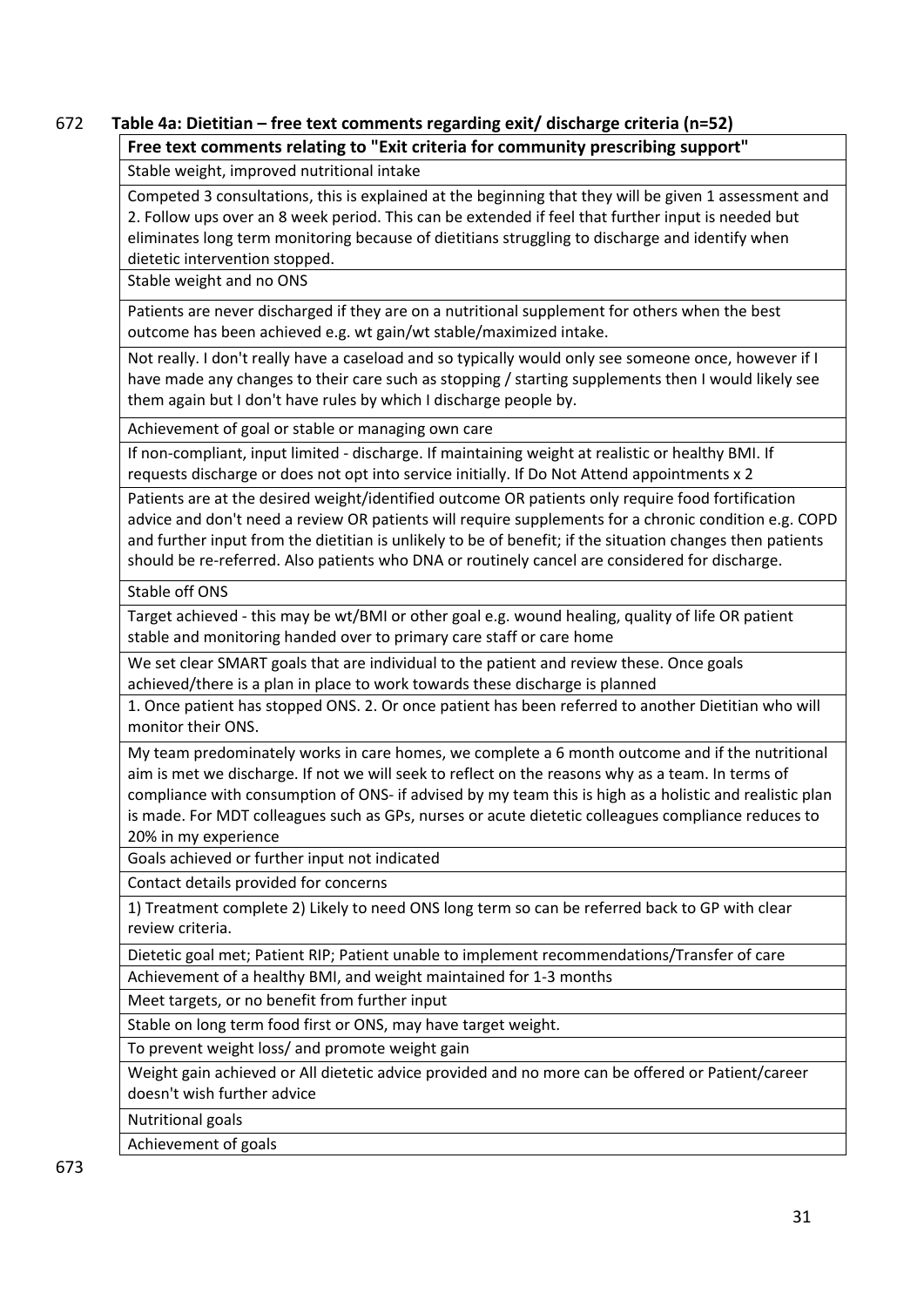### 672 **Table 4a: Dietitian – free text comments regarding exit/ discharge criteria (n=52) Free text comments relating to "Exit criteria for community prescribing support"**

Stable weight, improved nutritional intake

Competed 3 consultations, this is explained at the beginning that they will be given 1 assessment and 2. Follow ups over an 8 week period. This can be extended if feel that further input is needed but eliminates long term monitoring because of dietitians struggling to discharge and identify when dietetic intervention stopped.

Stable weight and no ONS

Patients are never discharged if they are on a nutritional supplement for others when the best outcome has been achieved e.g. wt gain/wt stable/maximized intake.

Not really. I don't really have a caseload and so typically would only see someone once, however if I have made any changes to their care such as stopping / starting supplements then I would likely see them again but I don't have rules by which I discharge people by.

Achievement of goal or stable or managing own care

If non‐compliant, input limited ‐ discharge. If maintaining weight at realistic or healthy BMI. If requests discharge or does not opt into service initially. If Do Not Attend appointments x 2

Patients are at the desired weight/identified outcome OR patients only require food fortification advice and don't need a review OR patients will require supplements for a chronic condition e.g. COPD and further input from the dietitian is unlikely to be of benefit; if the situation changes then patients should be re‐referred. Also patients who DNA or routinely cancel are considered for discharge.

Stable off ONS

Target achieved ‐ this may be wt/BMI or other goal e.g. wound healing, quality of life OR patient stable and monitoring handed over to primary care staff or care home

We set clear SMART goals that are individual to the patient and review these. Once goals achieved/there is a plan in place to work towards these discharge is planned

1. Once patient has stopped ONS. 2. Or once patient has been referred to another Dietitian who will monitor their ONS.

My team predominately works in care homes, we complete a 6 month outcome and if the nutritional aim is met we discharge. If not we will seek to reflect on the reasons why as a team. In terms of compliance with consumption of ONS‐ if advised by my team this is high as a holistic and realistic plan is made. For MDT colleagues such as GPs, nurses or acute dietetic colleagues compliance reduces to 20% in my experience

Goals achieved or further input not indicated

Contact details provided for concerns

1) Treatment complete 2) Likely to need ONS long term so can be referred back to GP with clear review criteria.

Dietetic goal met; Patient RIP; Patient unable to implement recommendations/Transfer of care Achievement of a healthy BMI, and weight maintained for 1‐3 months

Meet targets, or no benefit from further input

Stable on long term food first or ONS, may have target weight.

To prevent weight loss/ and promote weight gain

Weight gain achieved or All dietetic advice provided and no more can be offered or Patient/career doesn't wish further advice

Nutritional goals

Achievement of goals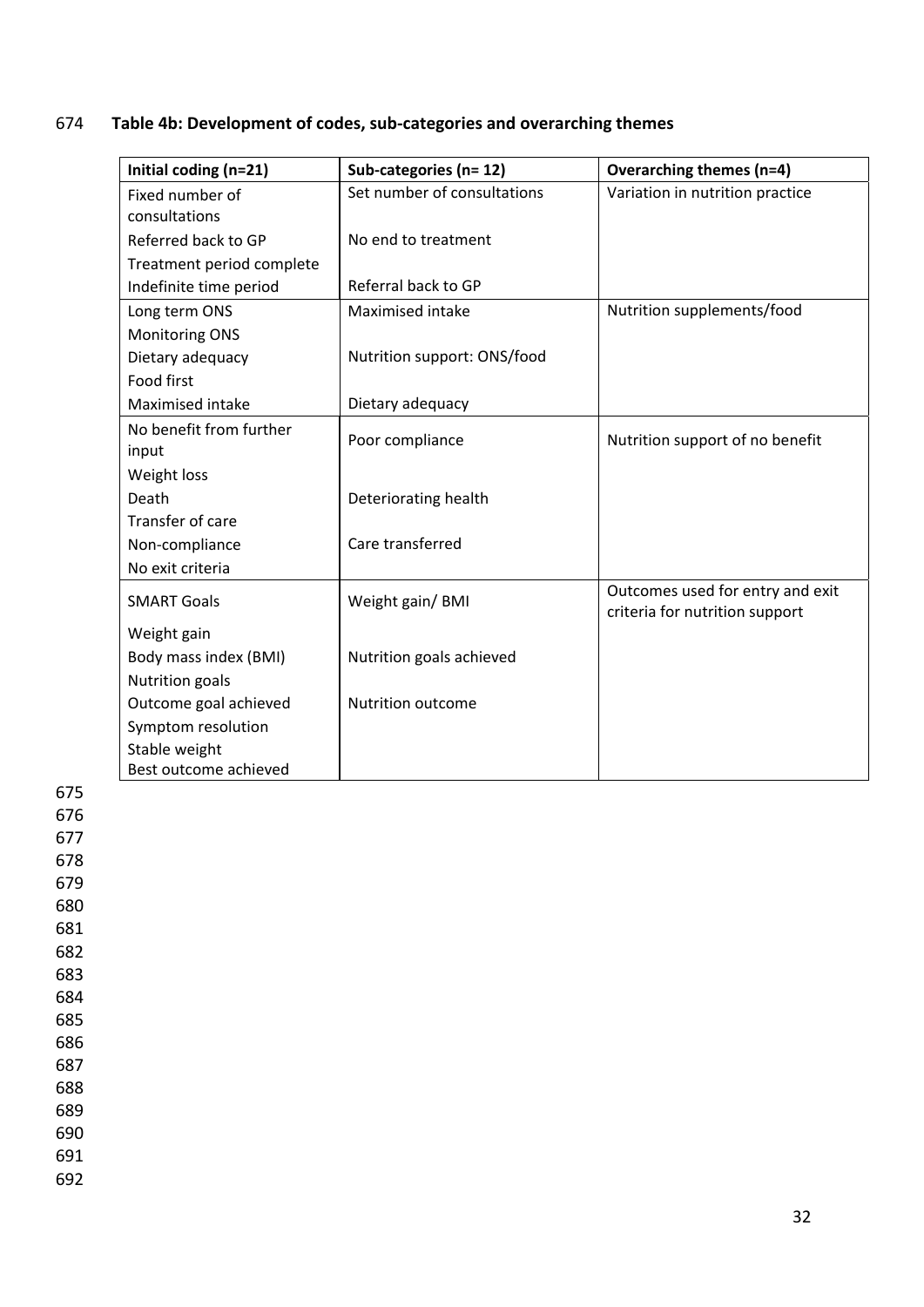# 674 **Table 4b: Development of codes, sub‐categories and overarching themes**

| Initial coding (n=21)     | Sub-categories (n= 12)      | Overarching themes (n=4)                                           |
|---------------------------|-----------------------------|--------------------------------------------------------------------|
| Fixed number of           | Set number of consultations | Variation in nutrition practice                                    |
| consultations             |                             |                                                                    |
| Referred back to GP       | No end to treatment         |                                                                    |
| Treatment period complete |                             |                                                                    |
| Indefinite time period    | Referral back to GP         |                                                                    |
| Long term ONS             | Maximised intake            | Nutrition supplements/food                                         |
| <b>Monitoring ONS</b>     |                             |                                                                    |
| Dietary adequacy          | Nutrition support: ONS/food |                                                                    |
| Food first                |                             |                                                                    |
| <b>Maximised intake</b>   | Dietary adequacy            |                                                                    |
| No benefit from further   | Poor compliance             | Nutrition support of no benefit                                    |
| input                     |                             |                                                                    |
| Weight loss               |                             |                                                                    |
| Death                     | Deteriorating health        |                                                                    |
| Transfer of care          |                             |                                                                    |
| Non-compliance            | Care transferred            |                                                                    |
| No exit criteria          |                             |                                                                    |
| <b>SMART Goals</b>        | Weight gain/ BMI            | Outcomes used for entry and exit<br>criteria for nutrition support |
| Weight gain               |                             |                                                                    |
| Body mass index (BMI)     | Nutrition goals achieved    |                                                                    |
| <b>Nutrition goals</b>    |                             |                                                                    |
| Outcome goal achieved     | <b>Nutrition outcome</b>    |                                                                    |
| Symptom resolution        |                             |                                                                    |
| Stable weight             |                             |                                                                    |
| Best outcome achieved     |                             |                                                                    |